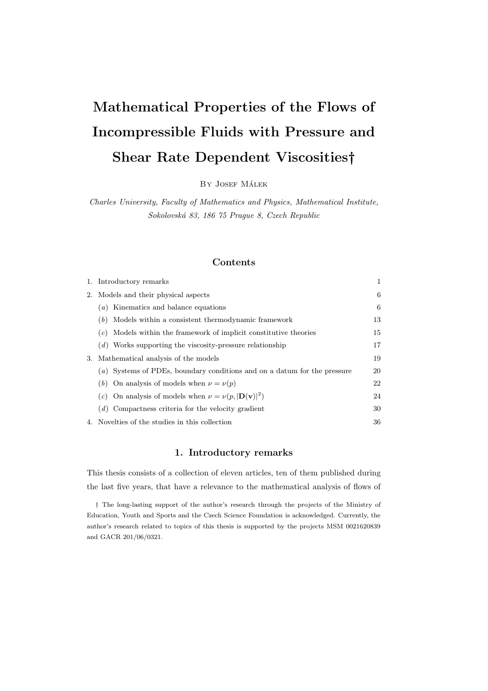# Mathematical Properties of the Flows of Incompressible Fluids with Pressure and Shear Rate Dependent Viscosities†

BY JOSEF MÁLEK

Charles University, Faculty of Mathematics and Physics, Mathematical Institute, Sokolovsk´a 83, 186 75 Prague 8, Czech Republic

# Contents

|    | 1. Introductory remarks                                                      | 1  |
|----|------------------------------------------------------------------------------|----|
| 2. | Models and their physical aspects                                            | 6  |
|    | (a) Kinematics and balance equations                                         | 6  |
|    | Models within a consistent thermodynamic framework<br>(b)                    | 13 |
|    | Models within the framework of implicit constitutive theories<br>(c)         | 15 |
|    | $(d)$ Works supporting the viscosity-pressure relationship                   | 17 |
| 3. | Mathematical analysis of the models                                          | 19 |
|    | (a) Systems of PDEs, boundary conditions and on a datum for the pressure     | 20 |
|    | (b) On analysis of models when $\nu = \nu(p)$                                | 22 |
|    | On analysis of models when $\nu = \nu(p,  \mathbf{D}(\mathbf{v}) ^2)$<br>(c) | 24 |
|    | $(d)$ Compactness criteria for the velocity gradient                         | 30 |
|    | 4. Novelties of the studies in this collection                               | 36 |

# 1. Introductory remarks

This thesis consists of a collection of eleven articles, ten of them published during the last five years, that have a relevance to the mathematical analysis of flows of

† The long-lasting support of the author's research through the projects of the Ministry of Education, Youth and Sports and the Czech Science Foundation is acknowledged. Currently, the author's research related to topics of this thesis is supported by the projects MSM 0021620839 and GACR 201/06/0321.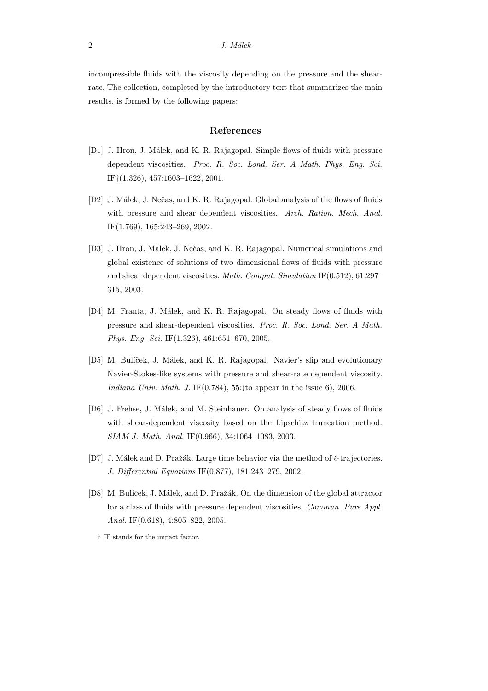incompressible fluids with the viscosity depending on the pressure and the shearrate. The collection, completed by the introductory text that summarizes the main results, is formed by the following papers:

# References

- [D1] J. Hron, J. Málek, and K. R. Rajagopal. Simple flows of fluids with pressure dependent viscosities. Proc. R. Soc. Lond. Ser. A Math. Phys. Eng. Sci. IF†(1.326), 457:1603–1622, 2001.
- [D2] J. Málek, J. Nečas, and K. R. Rajagopal. Global analysis of the flows of fluids with pressure and shear dependent viscosities. Arch. Ration. Mech. Anal. IF(1.769), 165:243–269, 2002.
- [D3] J. Hron, J. Málek, J. Nečas, and K. R. Rajagopal. Numerical simulations and global existence of solutions of two dimensional flows of fluids with pressure and shear dependent viscosities. Math. Comput. Simulation IF(0.512), 61:297– 315, 2003.
- [D4] M. Franta, J. Málek, and K. R. Rajagopal. On steady flows of fluids with pressure and shear-dependent viscosities. Proc. R. Soc. Lond. Ser. A Math. Phys. Eng. Sci. IF(1.326), 461:651–670, 2005.
- [D5] M. Bulíček, J. Málek, and K. R. Rajagopal. Navier's slip and evolutionary Navier-Stokes-like systems with pressure and shear-rate dependent viscosity. Indiana Univ. Math. J. IF $(0.784)$ , 55:(to appear in the issue 6), 2006.
- [D6] J. Frehse, J. Málek, and M. Steinhauer. On analysis of steady flows of fluids with shear-dependent viscosity based on the Lipschitz truncation method. SIAM J. Math. Anal. IF(0.966), 34:1064–1083, 2003.
- [D7] J. Málek and D. Pražák. Large time behavior via the method of  $\ell$ -trajectories. J. Differential Equations IF(0.877), 181:243–279, 2002.
- [D8] M. Bulíček, J. Málek, and D. Pražák. On the dimension of the global attractor for a class of fluids with pressure dependent viscosities. Commun. Pure Appl. Anal. IF(0.618), 4:805–822, 2005.
	- † IF stands for the impact factor.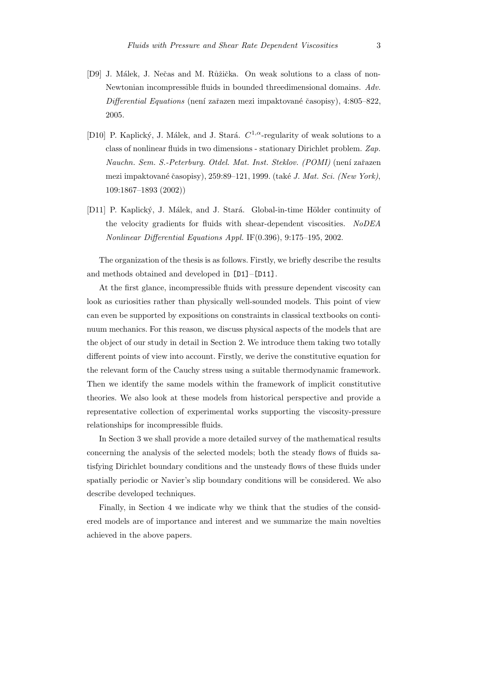- [D9] J. Málek, J. Nečas and M. Růžička. On weak solutions to a class of non-Newtonian incompressible fluids in bounded threedimensional domains. Adv.  $Differential$  Equations (není zařazen mezi impaktované časopisy), 4:805–822, 2005.
- [D10] P. Kaplický, J. Málek, and J. Stará.  $C^{1,\alpha}$ -regularity of weak solutions to a class of nonlinear fluids in two dimensions - stationary Dirichlet problem. Zap. Nauchn. Sem. S.-Peterburg. Otdel. Mat. Inst. Steklov. (POMI) (není zařazen mezi impaktované časopisy), 259:89–121, 1999. (také J. Mat. Sci. (New York), 109:1867–1893 (2002))
- [D11] P. Kaplický, J. Málek, and J. Stará. Global-in-time Hölder continuity of the velocity gradients for fluids with shear-dependent viscosities. NoDEA Nonlinear Differential Equations Appl. IF(0.396), 9:175–195, 2002.

The organization of the thesis is as follows. Firstly, we briefly describe the results and methods obtained and developed in [D1]–[D11].

At the first glance, incompressible fluids with pressure dependent viscosity can look as curiosities rather than physically well-sounded models. This point of view can even be supported by expositions on constraints in classical textbooks on continuum mechanics. For this reason, we discuss physical aspects of the models that are the object of our study in detail in Section 2. We introduce them taking two totally different points of view into account. Firstly, we derive the constitutive equation for the relevant form of the Cauchy stress using a suitable thermodynamic framework. Then we identify the same models within the framework of implicit constitutive theories. We also look at these models from historical perspective and provide a representative collection of experimental works supporting the viscosity-pressure relationships for incompressible fluids.

In Section 3 we shall provide a more detailed survey of the mathematical results concerning the analysis of the selected models; both the steady flows of fluids satisfying Dirichlet boundary conditions and the unsteady flows of these fluids under spatially periodic or Navier's slip boundary conditions will be considered. We also describe developed techniques.

Finally, in Section 4 we indicate why we think that the studies of the considered models are of importance and interest and we summarize the main novelties achieved in the above papers.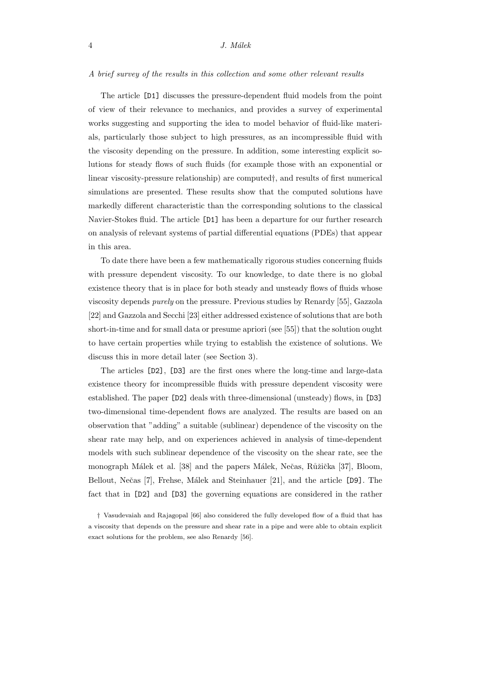#### A brief survey of the results in this collection and some other relevant results

The article [D1] discusses the pressure-dependent fluid models from the point of view of their relevance to mechanics, and provides a survey of experimental works suggesting and supporting the idea to model behavior of fluid-like materials, particularly those subject to high pressures, as an incompressible fluid with the viscosity depending on the pressure. In addition, some interesting explicit solutions for steady flows of such fluids (for example those with an exponential or linear viscosity-pressure relationship) are computed†, and results of first numerical simulations are presented. These results show that the computed solutions have markedly different characteristic than the corresponding solutions to the classical Navier-Stokes fluid. The article [D1] has been a departure for our further research on analysis of relevant systems of partial differential equations (PDEs) that appear in this area.

To date there have been a few mathematically rigorous studies concerning fluids with pressure dependent viscosity. To our knowledge, to date there is no global existence theory that is in place for both steady and unsteady flows of fluids whose viscosity depends purely on the pressure. Previous studies by Renardy [55], Gazzola [22] and Gazzola and Secchi [23] either addressed existence of solutions that are both short-in-time and for small data or presume apriori (see [55]) that the solution ought to have certain properties while trying to establish the existence of solutions. We discuss this in more detail later (see Section 3).

The articles [D2], [D3] are the first ones where the long-time and large-data existence theory for incompressible fluids with pressure dependent viscosity were established. The paper [D2] deals with three-dimensional (unsteady) flows, in [D3] two-dimensional time-dependent flows are analyzed. The results are based on an observation that "adding" a suitable (sublinear) dependence of the viscosity on the shear rate may help, and on experiences achieved in analysis of time-dependent models with such sublinear dependence of the viscosity on the shear rate, see the monograph Málek et al. [38] and the papers Málek, Nečas, Růžička [37], Bloom, Bellout, Nečas [7], Frehse, Málek and Steinhauer [21], and the article [D9]. The fact that in [D2] and [D3] the governing equations are considered in the rather

<sup>†</sup> Vasudevaiah and Rajagopal [66] also considered the fully developed flow of a fluid that has a viscosity that depends on the pressure and shear rate in a pipe and were able to obtain explicit exact solutions for the problem, see also Renardy [56].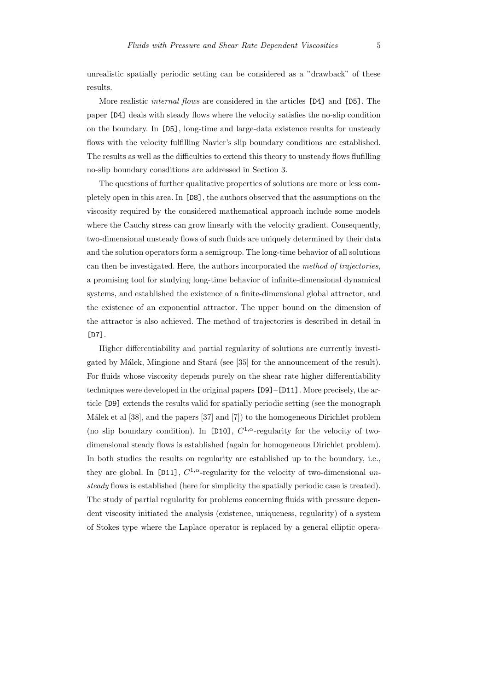unrealistic spatially periodic setting can be considered as a "drawback" of these results.

More realistic *internal flows* are considered in the articles [D4] and [D5]. The paper [D4] deals with steady flows where the velocity satisfies the no-slip condition on the boundary. In [D5], long-time and large-data existence results for unsteady flows with the velocity fulfilling Navier's slip boundary conditions are established. The results as well as the difficulties to extend this theory to unsteady flows flufilling no-slip boundary consditions are addressed in Section 3.

The questions of further qualitative properties of solutions are more or less completely open in this area. In [D8], the authors observed that the assumptions on the viscosity required by the considered mathematical approach include some models where the Cauchy stress can grow linearly with the velocity gradient. Consequently, two-dimensional unsteady flows of such fluids are uniquely determined by their data and the solution operators form a semigroup. The long-time behavior of all solutions can then be investigated. Here, the authors incorporated the method of trajectories, a promising tool for studying long-time behavior of infinite-dimensional dynamical systems, and established the existence of a finite-dimensional global attractor, and the existence of an exponential attractor. The upper bound on the dimension of the attractor is also achieved. The method of trajectories is described in detail in [D7].

Higher differentiability and partial regularity of solutions are currently investigated by Málek, Mingione and Stará (see [35] for the announcement of the result). For fluids whose viscosity depends purely on the shear rate higher differentiability techniques were developed in the original papers [D9]–[D11]. More precisely, the article [D9] extends the results valid for spatially periodic setting (see the monograph Málek et al [38], and the papers [37] and [7]) to the homogeneous Dirichlet problem (no slip boundary condition). In [D10],  $C^{1,\alpha}$ -regularity for the velocity of twodimensional steady flows is established (again for homogeneous Dirichlet problem). In both studies the results on regularity are established up to the boundary, i.e., they are global. In [D11],  $C^{1,\alpha}$ -regularity for the velocity of two-dimensional unsteady flows is established (here for simplicity the spatially periodic case is treated). The study of partial regularity for problems concerning fluids with pressure dependent viscosity initiated the analysis (existence, uniqueness, regularity) of a system of Stokes type where the Laplace operator is replaced by a general elliptic opera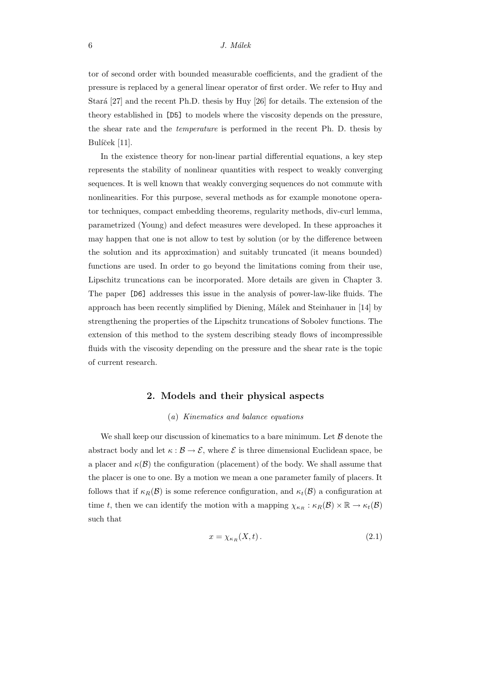tor of second order with bounded measurable coefficients, and the gradient of the pressure is replaced by a general linear operator of first order. We refer to Huy and Stará [27] and the recent Ph.D. thesis by Huy [26] for details. The extension of the theory established in [D5] to models where the viscosity depends on the pressure, the shear rate and the temperature is performed in the recent Ph. D. thesis by Bulíček [11].

In the existence theory for non-linear partial differential equations, a key step represents the stability of nonlinear quantities with respect to weakly converging sequences. It is well known that weakly converging sequences do not commute with nonlinearities. For this purpose, several methods as for example monotone operator techniques, compact embedding theorems, regularity methods, div-curl lemma, parametrized (Young) and defect measures were developed. In these approaches it may happen that one is not allow to test by solution (or by the difference between the solution and its approximation) and suitably truncated (it means bounded) functions are used. In order to go beyond the limitations coming from their use, Lipschitz truncations can be incorporated. More details are given in Chapter 3. The paper [D6] addresses this issue in the analysis of power-law-like fluids. The approach has been recently simplified by Diening, Málek and Steinhauer in [14] by strengthening the properties of the Lipschitz truncations of Sobolev functions. The extension of this method to the system describing steady flows of incompressible fluids with the viscosity depending on the pressure and the shear rate is the topic of current research.

## 2. Models and their physical aspects

## (a) Kinematics and balance equations

We shall keep our discussion of kinematics to a bare minimum. Let  $\beta$  denote the abstract body and let  $\kappa : \mathcal{B} \to \mathcal{E}$ , where  $\mathcal{E}$  is three dimensional Euclidean space, be a placer and  $\kappa(\mathcal{B})$  the configuration (placement) of the body. We shall assume that the placer is one to one. By a motion we mean a one parameter family of placers. It follows that if  $\kappa_R(\mathcal{B})$  is some reference configuration, and  $\kappa_t(\mathcal{B})$  a configuration at time t, then we can identify the motion with a mapping  $\chi_{\kappa_R} : \kappa_R(\mathcal{B}) \times \mathbb{R} \to \kappa_t(\mathcal{B})$ such that

$$
x = \chi_{\kappa_R}(X, t). \tag{2.1}
$$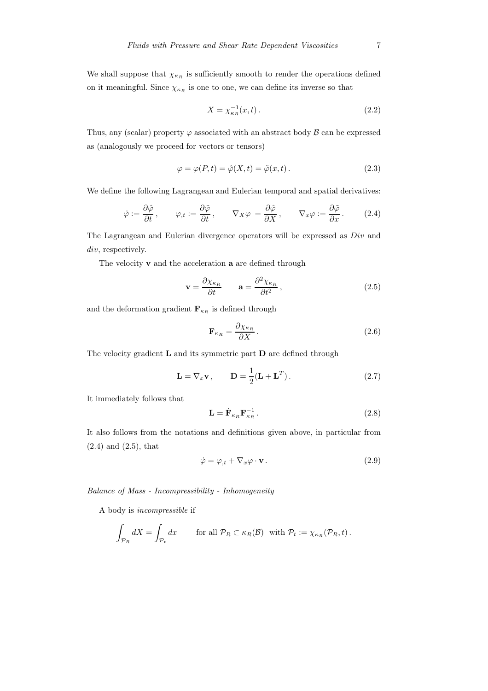We shall suppose that  $\chi_{\kappa_R}$  is sufficiently smooth to render the operations defined on it meaningful. Since  $\chi_{\kappa_R}$  is one to one, we can define its inverse so that

$$
X = \chi_{\kappa_R}^{-1}(x, t). \tag{2.2}
$$

Thus, any (scalar) property  $\varphi$  associated with an abstract body  $\beta$  can be expressed as (analogously we proceed for vectors or tensors)

$$
\varphi = \varphi(P, t) = \hat{\varphi}(X, t) = \tilde{\varphi}(x, t).
$$
\n(2.3)

We define the following Lagrangean and Eulerian temporal and spatial derivatives:

$$
\dot{\varphi} := \frac{\partial \hat{\varphi}}{\partial t}, \qquad \varphi_{,t} := \frac{\partial \tilde{\varphi}}{\partial t}, \qquad \nabla_X \varphi = \frac{\partial \hat{\varphi}}{\partial X}, \qquad \nabla_x \varphi := \frac{\partial \tilde{\varphi}}{\partial x}.
$$
 (2.4)

The Lagrangean and Eulerian divergence operators will be expressed as Div and div, respectively.

The velocity  $\bf{v}$  and the acceleration  $\bf{a}$  are defined through

$$
\mathbf{v} = \frac{\partial \chi_{\kappa_R}}{\partial t} \qquad \mathbf{a} = \frac{\partial^2 \chi_{\kappa_R}}{\partial t^2},\tag{2.5}
$$

and the deformation gradient  $\mathbf{F}_{\kappa_R}$  is defined through

$$
\mathbf{F}_{\kappa_R} = \frac{\partial \chi_{\kappa_R}}{\partial X} \,. \tag{2.6}
$$

The velocity gradient  $L$  and its symmetric part  $D$  are defined through

$$
\mathbf{L} = \nabla_x \mathbf{v}, \qquad \mathbf{D} = \frac{1}{2} (\mathbf{L} + \mathbf{L}^T). \tag{2.7}
$$

It immediately follows that

$$
\mathbf{L} = \dot{\mathbf{F}}_{\kappa_R} \mathbf{F}_{\kappa_R}^{-1} \,. \tag{2.8}
$$

It also follows from the notations and definitions given above, in particular from (2.4) and (2.5), that

$$
\dot{\varphi} = \varphi_{,t} + \nabla_x \varphi \cdot \mathbf{v} \,. \tag{2.9}
$$

Balance of Mass - Incompressibility - Inhomogeneity

A body is incompressible if

$$
\int_{\mathcal{P}_R} dX = \int_{\mathcal{P}_t} dx \quad \text{for all } \mathcal{P}_R \subset \kappa_R(\mathcal{B}) \text{ with } \mathcal{P}_t := \chi_{\kappa_R}(\mathcal{P}_R, t).
$$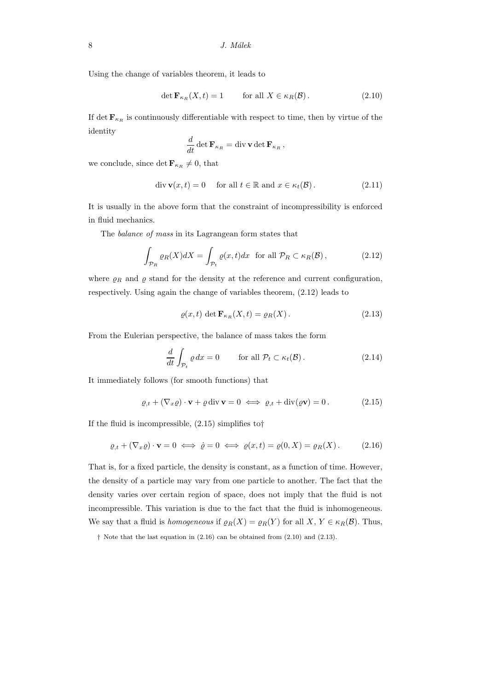Using the change of variables theorem, it leads to

$$
\det \mathbf{F}_{\kappa_R}(X, t) = 1 \qquad \text{for all } X \in \kappa_R(\mathcal{B}). \tag{2.10}
$$

If det  $\mathbf{F}_{\kappa_R}$  is continuously differentiable with respect to time, then by virtue of the identity

$$
\frac{d}{dt} \det \mathbf{F}_{\kappa_R} = \operatorname{div} \mathbf{v} \det \mathbf{F}_{\kappa_R},
$$

we conclude, since det  $\mathbf{F}_{\kappa_R} \neq 0$ , that

$$
\operatorname{div} \mathbf{v}(x,t) = 0 \quad \text{ for all } t \in \mathbb{R} \text{ and } x \in \kappa_t(\mathcal{B}). \tag{2.11}
$$

It is usually in the above form that the constraint of incompressibility is enforced in fluid mechanics.

The balance of mass in its Lagrangean form states that

$$
\int_{\mathcal{P}_R} \varrho_R(X) dX = \int_{\mathcal{P}_t} \varrho(x, t) dx \text{ for all } \mathcal{P}_R \subset \kappa_R(\mathcal{B}), \tag{2.12}
$$

where  $\rho_R$  and  $\rho$  stand for the density at the reference and current configuration, respectively. Using again the change of variables theorem, (2.12) leads to

$$
\varrho(x,t) \det \mathbf{F}_{\kappa_R}(X,t) = \varrho_R(X). \tag{2.13}
$$

From the Eulerian perspective, the balance of mass takes the form

$$
\frac{d}{dt} \int_{\mathcal{P}_t} \varrho \, dx = 0 \qquad \text{for all } \mathcal{P}_t \subset \kappa_t(\mathcal{B}). \tag{2.14}
$$

It immediately follows (for smooth functions) that

$$
\varrho_{,t} + (\nabla_x \varrho) \cdot \mathbf{v} + \varrho \operatorname{div} \mathbf{v} = 0 \iff \varrho_{,t} + \operatorname{div}(\varrho \mathbf{v}) = 0. \tag{2.15}
$$

If the fluid is incompressible,  $(2.15)$  simplifies to

$$
\varrho_{,t} + (\nabla_x \varrho) \cdot \mathbf{v} = 0 \iff \dot{\varrho} = 0 \iff \varrho(x,t) = \varrho(0,X) = \varrho_R(X). \tag{2.16}
$$

That is, for a fixed particle, the density is constant, as a function of time. However, the density of a particle may vary from one particle to another. The fact that the density varies over certain region of space, does not imply that the fluid is not incompressible. This variation is due to the fact that the fluid is inhomogeneous. We say that a fluid is *homogeneous* if  $\varrho_R(X) = \varrho_R(Y)$  for all  $X, Y \in \kappa_R(\mathcal{B})$ . Thus,

<sup>†</sup> Note that the last equation in (2.16) can be obtained from (2.10) and (2.13).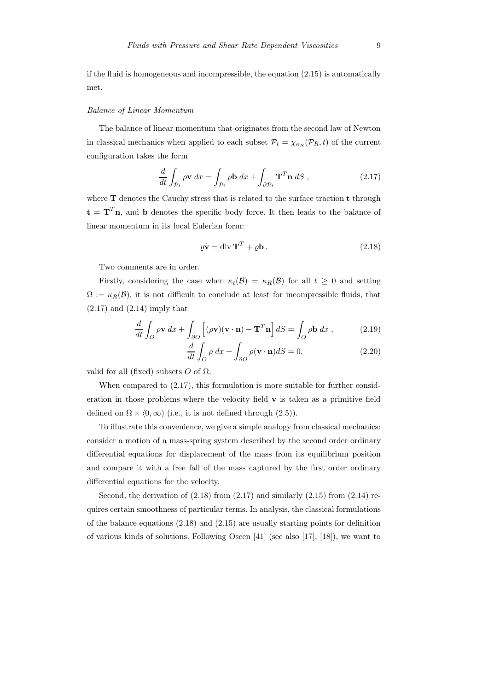if the fluid is homogeneous and incompressible, the equation  $(2.15)$  is automatically met.

#### Balance of Linear Momentum

The balance of linear momentum that originates from the second law of Newton in classical mechanics when applied to each subset  $P_t = \chi_{\kappa_R}(P_R,t)$  of the current configuration takes the form

$$
\frac{d}{dt} \int_{\mathcal{P}_t} \rho \mathbf{v} \, dx = \int_{\mathcal{P}_t} \rho \mathbf{b} \, dx + \int_{\partial \mathcal{P}_t} \mathbf{T}^T \mathbf{n} \, dS \,, \tag{2.17}
$$

where **T** denotes the Cauchy stress that is related to the surface traction **t** through  $\mathbf{t} = \mathbf{T}^T \mathbf{n}$ , and **b** denotes the specific body force. It then leads to the balance of linear momentum in its local Eulerian form:

$$
\varrho \dot{\mathbf{v}} = \text{div } \mathbf{T}^T + \varrho \mathbf{b} \,. \tag{2.18}
$$

Two comments are in order.

Firstly, considering the case when  $\kappa_t(\mathcal{B}) = \kappa_R(\mathcal{B})$  for all  $t \geq 0$  and setting  $\Omega := \kappa_R(\mathcal{B})$ , it is not difficult to conclude at least for incompressible fluids, that  $(2.17)$  and  $(2.14)$  imply that

$$
\frac{d}{dt} \int_{O} \rho \mathbf{v} \, dx + \int_{\partial O} \left[ (\rho \mathbf{v})(\mathbf{v} \cdot \mathbf{n}) - \mathbf{T}^{T} \mathbf{n} \right] dS = \int_{O} \rho \mathbf{b} \, dx \,, \tag{2.19}
$$

$$
\frac{d}{dt} \int_{O} \rho \, dx + \int_{\partial O} \rho (\mathbf{v} \cdot \mathbf{n}) dS = 0, \qquad (2.20)
$$

valid for all (fixed) subsets  $O$  of  $\Omega$ .

When compared to  $(2.17)$ , this formulation is more suitable for further consideration in those problems where the velocity field  $\bf{v}$  is taken as a primitive field defined on  $\Omega \times (0, \infty)$  (i.e., it is not defined through (2.5)).

To illustrate this convenience, we give a simple analogy from classical mechanics: consider a motion of a mass-spring system described by the second order ordinary differential equations for displacement of the mass from its equilibrium position and compare it with a free fall of the mass captured by the first order ordinary differential equations for the velocity.

Second, the derivation of  $(2.18)$  from  $(2.17)$  and similarly  $(2.15)$  from  $(2.14)$  requires certain smoothness of particular terms. In analysis, the classical formulations of the balance equations  $(2.18)$  and  $(2.15)$  are usually starting points for definition of various kinds of solutions. Following Oseen [41] (see also [17], [18]), we want to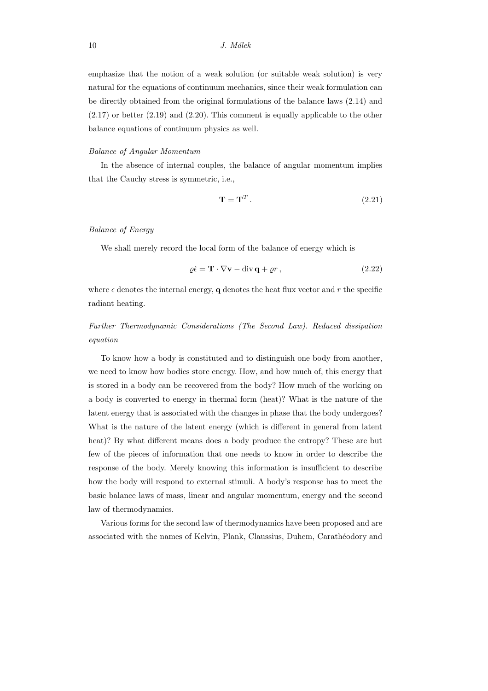emphasize that the notion of a weak solution (or suitable weak solution) is very natural for the equations of continuum mechanics, since their weak formulation can be directly obtained from the original formulations of the balance laws (2.14) and (2.17) or better (2.19) and (2.20). This comment is equally applicable to the other balance equations of continuum physics as well.

#### Balance of Angular Momentum

In the absence of internal couples, the balance of angular momentum implies that the Cauchy stress is symmetric, i.e.,

$$
\mathbf{T} = \mathbf{T}^T. \tag{2.21}
$$

#### Balance of Energy

We shall merely record the local form of the balance of energy which is

$$
\varrho \dot{\epsilon} = \mathbf{T} \cdot \nabla \mathbf{v} - \text{div} \, \mathbf{q} + \varrho r \,, \tag{2.22}
$$

where  $\epsilon$  denotes the internal energy, q denotes the heat flux vector and r the specific radiant heating.

# Further Thermodynamic Considerations (The Second Law). Reduced dissipation equation

To know how a body is constituted and to distinguish one body from another, we need to know how bodies store energy. How, and how much of, this energy that is stored in a body can be recovered from the body? How much of the working on a body is converted to energy in thermal form (heat)? What is the nature of the latent energy that is associated with the changes in phase that the body undergoes? What is the nature of the latent energy (which is different in general from latent heat)? By what different means does a body produce the entropy? These are but few of the pieces of information that one needs to know in order to describe the response of the body. Merely knowing this information is insufficient to describe how the body will respond to external stimuli. A body's response has to meet the basic balance laws of mass, linear and angular momentum, energy and the second law of thermodynamics.

Various forms for the second law of thermodynamics have been proposed and are associated with the names of Kelvin, Plank, Claussius, Duhem, Carathéodory and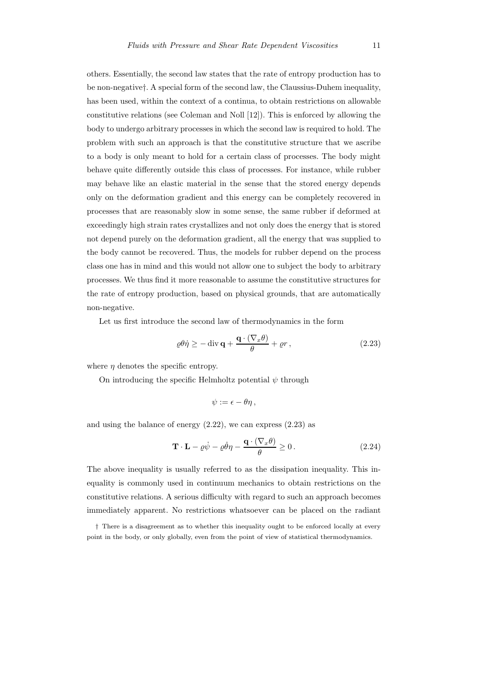others. Essentially, the second law states that the rate of entropy production has to be non-negative†. A special form of the second law, the Claussius-Duhem inequality, has been used, within the context of a continua, to obtain restrictions on allowable constitutive relations (see Coleman and Noll [12]). This is enforced by allowing the body to undergo arbitrary processes in which the second law is required to hold. The problem with such an approach is that the constitutive structure that we ascribe to a body is only meant to hold for a certain class of processes. The body might behave quite differently outside this class of processes. For instance, while rubber may behave like an elastic material in the sense that the stored energy depends only on the deformation gradient and this energy can be completely recovered in processes that are reasonably slow in some sense, the same rubber if deformed at exceedingly high strain rates crystallizes and not only does the energy that is stored not depend purely on the deformation gradient, all the energy that was supplied to the body cannot be recovered. Thus, the models for rubber depend on the process class one has in mind and this would not allow one to subject the body to arbitrary processes. We thus find it more reasonable to assume the constitutive structures for the rate of entropy production, based on physical grounds, that are automatically non-negative.

Let us first introduce the second law of thermodynamics in the form

$$
\varrho \theta \dot{\eta} \ge -\operatorname{div} \mathbf{q} + \frac{\mathbf{q} \cdot (\nabla_x \theta)}{\theta} + \varrho r, \qquad (2.23)
$$

where  $\eta$  denotes the specific entropy.

On introducing the specific Helmholtz potential  $\psi$  through

$$
\psi:=\epsilon-\theta\eta\,,
$$

and using the balance of energy (2.22), we can express (2.23) as

$$
\mathbf{T} \cdot \mathbf{L} - \varrho \dot{\psi} - \varrho \dot{\theta} \eta - \frac{\mathbf{q} \cdot (\nabla_x \theta)}{\theta} \ge 0.
$$
 (2.24)

The above inequality is usually referred to as the dissipation inequality. This inequality is commonly used in continuum mechanics to obtain restrictions on the constitutive relations. A serious difficulty with regard to such an approach becomes immediately apparent. No restrictions whatsoever can be placed on the radiant

† There is a disagreement as to whether this inequality ought to be enforced locally at every point in the body, or only globally, even from the point of view of statistical thermodynamics.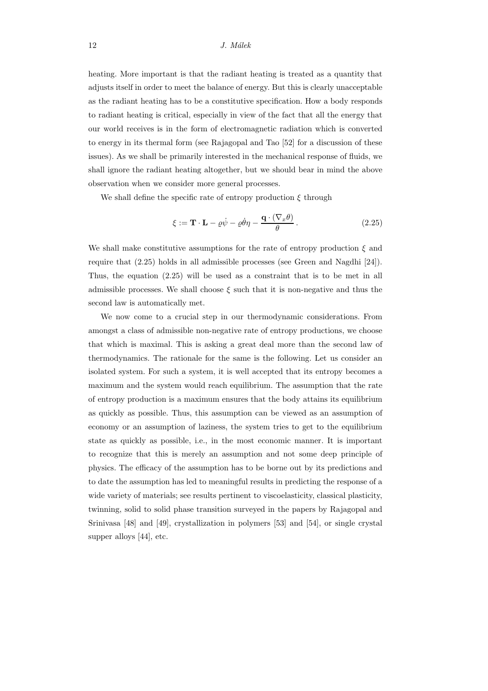heating. More important is that the radiant heating is treated as a quantity that adjusts itself in order to meet the balance of energy. But this is clearly unacceptable as the radiant heating has to be a constitutive specification. How a body responds to radiant heating is critical, especially in view of the fact that all the energy that our world receives is in the form of electromagnetic radiation which is converted to energy in its thermal form (see Rajagopal and Tao [52] for a discussion of these issues). As we shall be primarily interested in the mechanical response of fluids, we shall ignore the radiant heating altogether, but we should bear in mind the above observation when we consider more general processes.

We shall define the specific rate of entropy production  $\xi$  through

$$
\xi := \mathbf{T} \cdot \mathbf{L} - \varrho \dot{\psi} - \varrho \dot{\theta} \eta - \frac{\mathbf{q} \cdot (\nabla_x \theta)}{\theta}.
$$
 (2.25)

We shall make constitutive assumptions for the rate of entropy production  $\xi$  and require that (2.25) holds in all admissible processes (see Green and Nagdhi [24]). Thus, the equation (2.25) will be used as a constraint that is to be met in all admissible processes. We shall choose  $\xi$  such that it is non-negative and thus the second law is automatically met.

We now come to a crucial step in our thermodynamic considerations. From amongst a class of admissible non-negative rate of entropy productions, we choose that which is maximal. This is asking a great deal more than the second law of thermodynamics. The rationale for the same is the following. Let us consider an isolated system. For such a system, it is well accepted that its entropy becomes a maximum and the system would reach equilibrium. The assumption that the rate of entropy production is a maximum ensures that the body attains its equilibrium as quickly as possible. Thus, this assumption can be viewed as an assumption of economy or an assumption of laziness, the system tries to get to the equilibrium state as quickly as possible, i.e., in the most economic manner. It is important to recognize that this is merely an assumption and not some deep principle of physics. The efficacy of the assumption has to be borne out by its predictions and to date the assumption has led to meaningful results in predicting the response of a wide variety of materials; see results pertinent to viscoelasticity, classical plasticity, twinning, solid to solid phase transition surveyed in the papers by Rajagopal and Srinivasa [48] and [49], crystallization in polymers [53] and [54], or single crystal supper alloys [44], etc.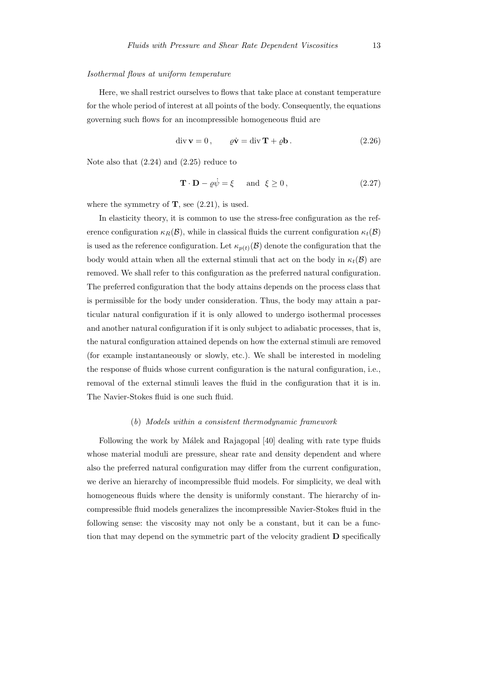#### Isothermal flows at uniform temperature

Here, we shall restrict ourselves to flows that take place at constant temperature for the whole period of interest at all points of the body. Consequently, the equations governing such flows for an incompressible homogeneous fluid are

$$
\operatorname{div} \mathbf{v} = 0, \qquad \rho \dot{\mathbf{v}} = \operatorname{div} \mathbf{T} + \rho \mathbf{b}. \tag{2.26}
$$

Note also that (2.24) and (2.25) reduce to

$$
\mathbf{T} \cdot \mathbf{D} - \varrho \dot{\psi} = \xi \quad \text{and} \quad \xi \ge 0, \tag{2.27}
$$

where the symmetry of  $\mathbf{T}$ , see (2.21), is used.

In elasticity theory, it is common to use the stress-free configuration as the reference configuration  $\kappa_B(\mathcal{B})$ , while in classical fluids the current configuration  $\kappa_t(\mathcal{B})$ is used as the reference configuration. Let  $\kappa_{p(t)}(\mathcal{B})$  denote the configuration that the body would attain when all the external stimuli that act on the body in  $\kappa_t(\mathcal{B})$  are removed. We shall refer to this configuration as the preferred natural configuration. The preferred configuration that the body attains depends on the process class that is permissible for the body under consideration. Thus, the body may attain a particular natural configuration if it is only allowed to undergo isothermal processes and another natural configuration if it is only subject to adiabatic processes, that is, the natural configuration attained depends on how the external stimuli are removed (for example instantaneously or slowly, etc.). We shall be interested in modeling the response of fluids whose current configuration is the natural configuration, i.e., removal of the external stimuli leaves the fluid in the configuration that it is in. The Navier-Stokes fluid is one such fluid.

#### (b) Models within a consistent thermodynamic framework

Following the work by Málek and Rajagopal [40] dealing with rate type fluids whose material moduli are pressure, shear rate and density dependent and where also the preferred natural configuration may differ from the current configuration, we derive an hierarchy of incompressible fluid models. For simplicity, we deal with homogeneous fluids where the density is uniformly constant. The hierarchy of incompressible fluid models generalizes the incompressible Navier-Stokes fluid in the following sense: the viscosity may not only be a constant, but it can be a function that may depend on the symmetric part of the velocity gradient D specifically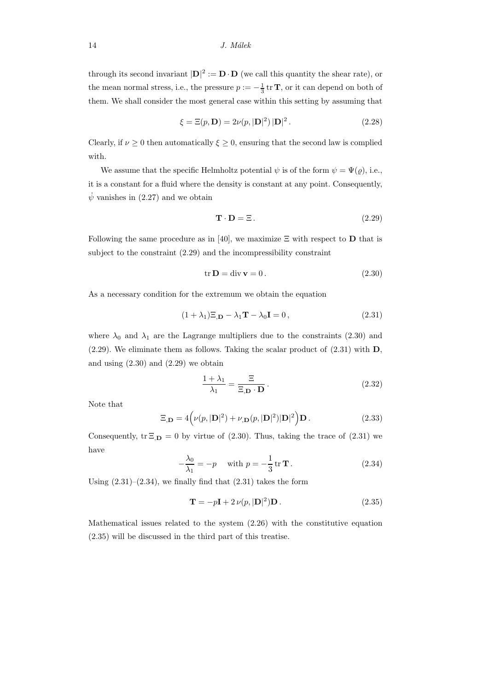through its second invariant  $|\mathbf{D}|^2 := \mathbf{D} \cdot \mathbf{D}$  (we call this quantity the shear rate), or the mean normal stress, i.e., the pressure  $p := -\frac{1}{3}$  tr **T**, or it can depend on both of them. We shall consider the most general case within this setting by assuming that

$$
\xi = \Xi(p, \mathbf{D}) = 2\nu(p, |\mathbf{D}|^2) |\mathbf{D}|^2.
$$
 (2.28)

Clearly, if  $\nu \geq 0$  then automatically  $\xi \geq 0$ , ensuring that the second law is complied with.

We assume that the specific Helmholtz potential  $\psi$  is of the form  $\psi = \Psi(\rho)$ , i.e., it is a constant for a fluid where the density is constant at any point. Consequently,  $\psi$  vanishes in (2.27) and we obtain

$$
\mathbf{T} \cdot \mathbf{D} = \Xi \,. \tag{2.29}
$$

Following the same procedure as in [40], we maximize  $\Xi$  with respect to **D** that is subject to the constraint (2.29) and the incompressibility constraint

$$
\text{tr}\,\mathbf{D} = \text{div}\,\mathbf{v} = 0\,. \tag{2.30}
$$

As a necessary condition for the extremum we obtain the equation

$$
(1 + \lambda_1)\Xi_{,\mathbf{D}} - \lambda_1 \mathbf{T} - \lambda_0 \mathbf{I} = 0, \qquad (2.31)
$$

where  $\lambda_0$  and  $\lambda_1$  are the Lagrange multipliers due to the constraints (2.30) and  $(2.29)$ . We eliminate them as follows. Taking the scalar product of  $(2.31)$  with **D**, and using  $(2.30)$  and  $(2.29)$  we obtain

$$
\frac{1+\lambda_1}{\lambda_1} = \frac{\Xi}{\Xi, \mathbf{D} \cdot \mathbf{D}}.
$$
 (2.32)

Note that

$$
\Xi_{,\mathbf{D}} = 4\left(\nu(p, |\mathbf{D}|^2) + \nu_{,\mathbf{D}}(p, |\mathbf{D}|^2)|\mathbf{D}|^2\right)\mathbf{D}.
$$
\n(2.33)

Consequently,  $tr \Xi_{D} = 0$  by virtue of (2.30). Thus, taking the trace of (2.31) we have

$$
-\frac{\lambda_0}{\lambda_1} = -p \quad \text{with } p = -\frac{1}{3} \text{ tr } \mathbf{T} \,. \tag{2.34}
$$

Using  $(2.31)$ – $(2.34)$ , we finally find that  $(2.31)$  takes the form

$$
\mathbf{T} = -p\mathbf{I} + 2\,\nu(p, |\mathbf{D}|^2)\mathbf{D}.
$$
 (2.35)

Mathematical issues related to the system (2.26) with the constitutive equation (2.35) will be discussed in the third part of this treatise.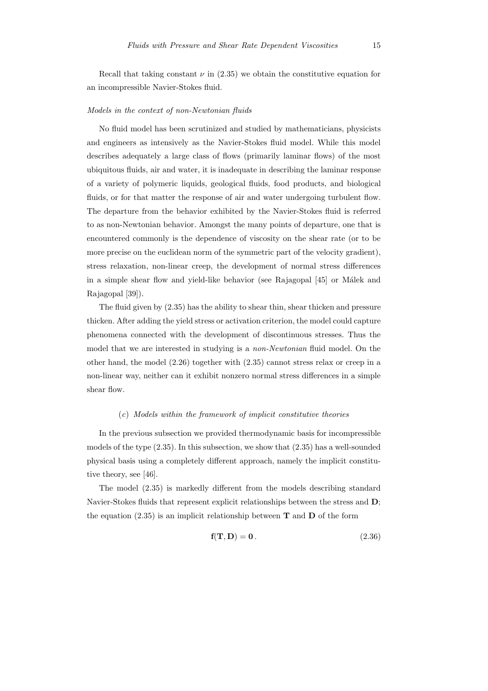Recall that taking constant  $\nu$  in (2.35) we obtain the constitutive equation for an incompressible Navier-Stokes fluid.

#### Models in the context of non-Newtonian fluids

No fluid model has been scrutinized and studied by mathematicians, physicists and engineers as intensively as the Navier-Stokes fluid model. While this model describes adequately a large class of flows (primarily laminar flows) of the most ubiquitous fluids, air and water, it is inadequate in describing the laminar response of a variety of polymeric liquids, geological fluids, food products, and biological fluids, or for that matter the response of air and water undergoing turbulent flow. The departure from the behavior exhibited by the Navier-Stokes fluid is referred to as non-Newtonian behavior. Amongst the many points of departure, one that is encountered commonly is the dependence of viscosity on the shear rate (or to be more precise on the euclidean norm of the symmetric part of the velocity gradient), stress relaxation, non-linear creep, the development of normal stress differences in a simple shear flow and yield-like behavior (see Rajagopal [45] or Málek and Rajagopal [39]).

The fluid given by (2.35) has the ability to shear thin, shear thicken and pressure thicken. After adding the yield stress or activation criterion, the model could capture phenomena connected with the development of discontinuous stresses. Thus the model that we are interested in studying is a *non-Newtonian* fluid model. On the other hand, the model (2.26) together with (2.35) cannot stress relax or creep in a non-linear way, neither can it exhibit nonzero normal stress differences in a simple shear flow.

#### (c) Models within the framework of implicit constitutive theories

In the previous subsection we provided thermodynamic basis for incompressible models of the type  $(2.35)$ . In this subsection, we show that  $(2.35)$  has a well-sounded physical basis using a completely different approach, namely the implicit constitutive theory, see [46].

The model (2.35) is markedly different from the models describing standard Navier-Stokes fluids that represent explicit relationships between the stress and D; the equation (2.35) is an implicit relationship between  $\bf{T}$  and  $\bf{D}$  of the form

$$
\mathbf{f}(\mathbf{T}, \mathbf{D}) = \mathbf{0}. \tag{2.36}
$$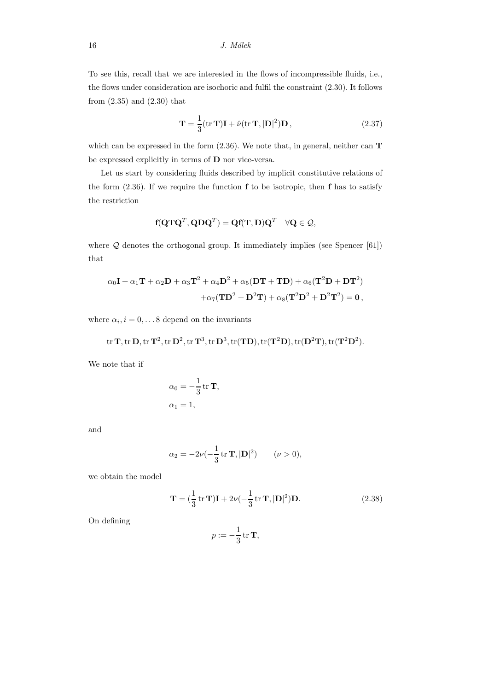To see this, recall that we are interested in the flows of incompressible fluids, i.e., the flows under consideration are isochoric and fulfil the constraint (2.30). It follows from (2.35) and (2.30) that

$$
\mathbf{T} = \frac{1}{3} (\text{tr } \mathbf{T}) \mathbf{I} + \hat{\nu} (\text{tr } \mathbf{T}, |\mathbf{D}|^2) \mathbf{D}, \qquad (2.37)
$$

which can be expressed in the form  $(2.36)$ . We note that, in general, neither can **T** be expressed explicitly in terms of D nor vice-versa.

Let us start by considering fluids described by implicit constitutive relations of the form  $(2.36)$ . If we require the function  $f$  to be isotropic, then  $f$  has to satisfy the restriction

$$
\textbf{f}(\textbf{Q} \textbf{T} \textbf{Q}^T, \textbf{Q} \textbf{D} \textbf{Q}^T) = \textbf{Q} \textbf{f}(\textbf{T}, \textbf{D}) \textbf{Q}^T \quad \forall \textbf{Q} \in \mathcal{Q},
$$

where  $Q$  denotes the orthogonal group. It immediately implies (see Spencer [61]) that

$$
\begin{aligned} \alpha_0\mathbf{I}+\alpha_1\mathbf{T}+\alpha_2\mathbf{D}+\alpha_3\mathbf{T}^2+\alpha_4\mathbf{D}^2+\alpha_5(\mathbf{D}\mathbf{T}+\mathbf{T}\mathbf{D})+\alpha_6(\mathbf{T}^2\mathbf{D}+\mathbf{D}\mathbf{T}^2) \\ +\alpha_7(\mathbf{T}\mathbf{D}^2+\mathbf{D}^2\mathbf{T})+\alpha_8(\mathbf{T}^2\mathbf{D}^2+\mathbf{D}^2\mathbf{T}^2)=\mathbf{0}\,, \end{aligned}
$$

where  $\alpha_i$ ,  $i = 0, \ldots 8$  depend on the invariants

$$
\mathrm{tr}\, \mathbf{T}, \mathrm{tr}\, \mathbf{D}, \mathrm{tr}\, \mathbf{T}^2, \mathrm{tr}\, \mathbf{D}^2, \mathrm{tr}\, \mathbf{T}^3, \mathrm{tr}\, \mathbf{D}^3, \mathrm{tr}(\mathbf{T}\mathbf{D}), \mathrm{tr}(\mathbf{T}^2\mathbf{D}), \mathrm{tr}(\mathbf{D}^2\mathbf{T}), \mathrm{tr}(\mathbf{T}^2\mathbf{D}^2).
$$

We note that if

$$
\alpha_0 = -\frac{1}{3} \operatorname{tr} \mathbf{T},
$$
  

$$
\alpha_1 = 1,
$$

and

$$
\alpha_2 = -2\nu(-\frac{1}{3}\text{tr }\mathbf{T}, |\mathbf{D}|^2) \qquad (\nu > 0),
$$

we obtain the model

$$
\mathbf{T} = \left(\frac{1}{3}\operatorname{tr}\mathbf{T}\right)\mathbf{I} + 2\nu\left(-\frac{1}{3}\operatorname{tr}\mathbf{T}, |\mathbf{D}|^2\right)\mathbf{D}.\tag{2.38}
$$

On defining

$$
p:=-\frac{1}{3}\operatorname{tr}\mathbf{T},
$$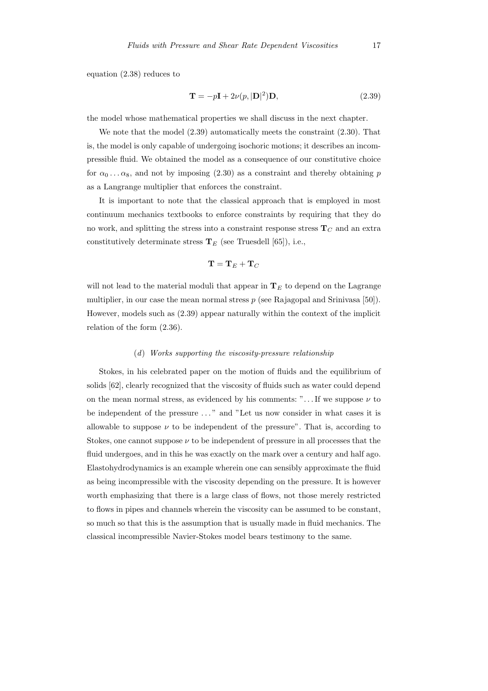equation (2.38) reduces to

$$
\mathbf{T} = -p\mathbf{I} + 2\nu(p, |\mathbf{D}|^2)\mathbf{D},\tag{2.39}
$$

the model whose mathematical properties we shall discuss in the next chapter.

We note that the model (2.39) automatically meets the constraint (2.30). That is, the model is only capable of undergoing isochoric motions; it describes an incompressible fluid. We obtained the model as a consequence of our constitutive choice for  $\alpha_0 \dots \alpha_8$ , and not by imposing (2.30) as a constraint and thereby obtaining p as a Langrange multiplier that enforces the constraint.

It is important to note that the classical approach that is employed in most continuum mechanics textbooks to enforce constraints by requiring that they do no work, and splitting the stress into a constraint response stress  $T_C$  and an extra constitutively determinate stress  $T_E$  (see Truesdell [65]), i.e.,

$$
\mathbf{T}=\mathbf{T}_E+\mathbf{T}_C
$$

will not lead to the material moduli that appear in  $T_E$  to depend on the Lagrange multiplier, in our case the mean normal stress  $p$  (see Rajagopal and Srinivasa [50]). However, models such as (2.39) appear naturally within the context of the implicit relation of the form (2.36).

#### (d) Works supporting the viscosity-pressure relationship

Stokes, in his celebrated paper on the motion of fluids and the equilibrium of solids [62], clearly recognized that the viscosity of fluids such as water could depend on the mean normal stress, as evidenced by his comments: "... If we suppose  $\nu$  to be independent of the pressure ..." and "Let us now consider in what cases it is allowable to suppose  $\nu$  to be independent of the pressure". That is, according to Stokes, one cannot suppose  $\nu$  to be independent of pressure in all processes that the fluid undergoes, and in this he was exactly on the mark over a century and half ago. Elastohydrodynamics is an example wherein one can sensibly approximate the fluid as being incompressible with the viscosity depending on the pressure. It is however worth emphasizing that there is a large class of flows, not those merely restricted to flows in pipes and channels wherein the viscosity can be assumed to be constant, so much so that this is the assumption that is usually made in fluid mechanics. The classical incompressible Navier-Stokes model bears testimony to the same.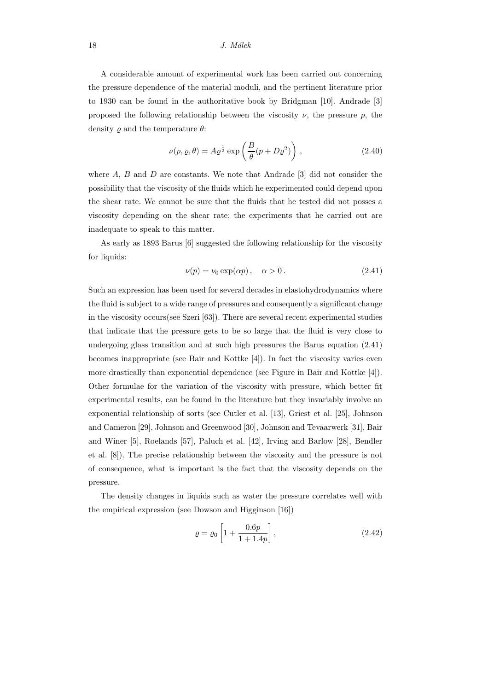A considerable amount of experimental work has been carried out concerning the pressure dependence of the material moduli, and the pertinent literature prior to 1930 can be found in the authoritative book by Bridgman [10]. Andrade [3] proposed the following relationship between the viscosity  $\nu$ , the pressure p, the density  $\rho$  and the temperature  $\theta$ :

$$
\nu(p,\varrho,\theta) = A\varrho^{\frac{1}{2}} \exp\left(\frac{B}{\theta}(p+D\varrho^2)\right),\tag{2.40}
$$

where  $A, B$  and  $D$  are constants. We note that Andrade  $[3]$  did not consider the possibility that the viscosity of the fluids which he experimented could depend upon the shear rate. We cannot be sure that the fluids that he tested did not posses a viscosity depending on the shear rate; the experiments that he carried out are inadequate to speak to this matter.

As early as 1893 Barus [6] suggested the following relationship for the viscosity for liquids:

$$
\nu(p) = \nu_0 \exp(\alpha p), \quad \alpha > 0. \tag{2.41}
$$

Such an expression has been used for several decades in elastohydrodynamics where the fluid is subject to a wide range of pressures and consequently a significant change in the viscosity occurs(see Szeri [63]). There are several recent experimental studies that indicate that the pressure gets to be so large that the fluid is very close to undergoing glass transition and at such high pressures the Barus equation (2.41) becomes inappropriate (see Bair and Kottke [4]). In fact the viscosity varies even more drastically than exponential dependence (see Figure in Bair and Kottke [4]). Other formulae for the variation of the viscosity with pressure, which better fit experimental results, can be found in the literature but they invariably involve an exponential relationship of sorts (see Cutler et al. [13], Griest et al. [25], Johnson and Cameron [29], Johnson and Greenwood [30], Johnson and Tevaarwerk [31], Bair and Winer [5], Roelands [57], Paluch et al. [42], Irving and Barlow [28], Bendler et al. [8]). The precise relationship between the viscosity and the pressure is not of consequence, what is important is the fact that the viscosity depends on the pressure.

The density changes in liquids such as water the pressure correlates well with the empirical expression (see Dowson and Higginson [16])

$$
\varrho = \varrho_0 \left[ 1 + \frac{0.6p}{1 + 1.4p} \right],\tag{2.42}
$$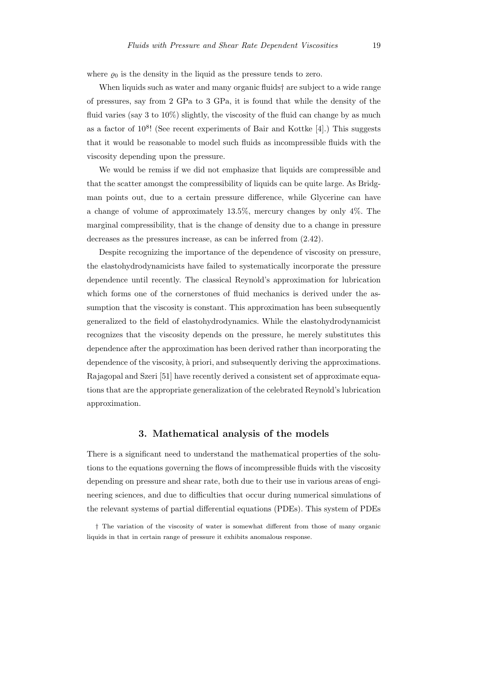where  $\rho_0$  is the density in the liquid as the pressure tends to zero.

When liquids such as water and many organic fluids† are subject to a wide range of pressures, say from 2 GPa to 3 GPa, it is found that while the density of the fluid varies (say 3 to  $10\%$ ) slightly, the viscosity of the fluid can change by as much as a factor of  $10^8$ ! (See recent experiments of Bair and Kottke [4].) This suggests that it would be reasonable to model such fluids as incompressible fluids with the viscosity depending upon the pressure.

We would be remiss if we did not emphasize that liquids are compressible and that the scatter amongst the compressibility of liquids can be quite large. As Bridgman points out, due to a certain pressure difference, while Glycerine can have a change of volume of approximately 13.5%, mercury changes by only 4%. The marginal compressibility, that is the change of density due to a change in pressure decreases as the pressures increase, as can be inferred from (2.42).

Despite recognizing the importance of the dependence of viscosity on pressure, the elastohydrodynamicists have failed to systematically incorporate the pressure dependence until recently. The classical Reynold's approximation for lubrication which forms one of the cornerstones of fluid mechanics is derived under the assumption that the viscosity is constant. This approximation has been subsequently generalized to the field of elastohydrodynamics. While the elastohydrodynamicist recognizes that the viscosity depends on the pressure, he merely substitutes this dependence after the approximation has been derived rather than incorporating the dependence of the viscosity, à priori, and subsequently deriving the approximations. Rajagopal and Szeri [51] have recently derived a consistent set of approximate equations that are the appropriate generalization of the celebrated Reynold's lubrication approximation.

# 3. Mathematical analysis of the models

There is a significant need to understand the mathematical properties of the solutions to the equations governing the flows of incompressible fluids with the viscosity depending on pressure and shear rate, both due to their use in various areas of engineering sciences, and due to difficulties that occur during numerical simulations of the relevant systems of partial differential equations (PDEs). This system of PDEs

<sup>†</sup> The variation of the viscosity of water is somewhat different from those of many organic liquids in that in certain range of pressure it exhibits anomalous response.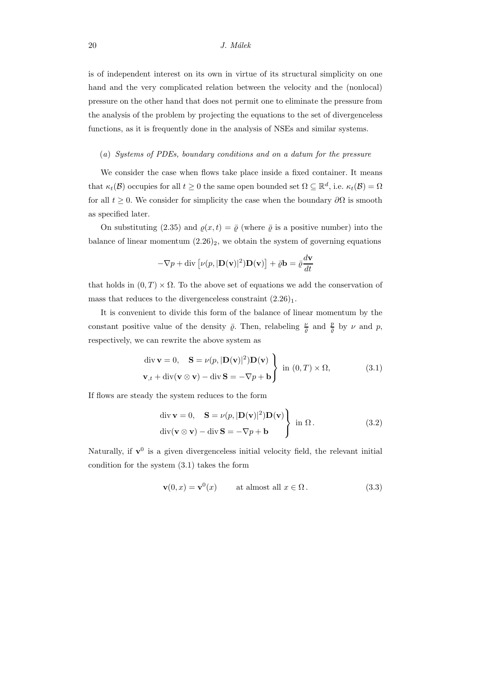is of independent interest on its own in virtue of its structural simplicity on one hand and the very complicated relation between the velocity and the (nonlocal) pressure on the other hand that does not permit one to eliminate the pressure from the analysis of the problem by projecting the equations to the set of divergenceless functions, as it is frequently done in the analysis of NSEs and similar systems.

#### (a) Systems of PDEs, boundary conditions and on a datum for the pressure

We consider the case when flows take place inside a fixed container. It means that  $\kappa_t(\mathcal{B})$  occupies for all  $t \geq 0$  the same open bounded set  $\Omega \subseteq \mathbb{R}^d$ , i.e.  $\kappa_t(\mathcal{B}) = \Omega$ for all  $t \geq 0$ . We consider for simplicity the case when the boundary  $\partial\Omega$  is smooth as specified later.

On substituting (2.35) and  $\rho(x,t) = \overline{\rho}$  (where  $\overline{\rho}$  is a positive number) into the balance of linear momentum  $(2.26)_2$ , we obtain the system of governing equations

$$
-\nabla p + \text{div}\left[\nu(p, |\mathbf{D}(\mathbf{v})|^2)\mathbf{D}(\mathbf{v})\right] + \bar{\varrho}\mathbf{b} = \bar{\varrho}\frac{d\mathbf{v}}{dt}
$$

that holds in  $(0, T) \times \Omega$ . To the above set of equations we add the conservation of mass that reduces to the divergenceless constraint  $(2.26)_1$ .

It is convenient to divide this form of the balance of linear momentum by the constant positive value of the density  $\bar{\varrho}$ . Then, relabeling  $\frac{\nu}{\bar{\varrho}}$  and  $\frac{p}{\bar{\varrho}}$  by  $\nu$  and  $p$ , respectively, we can rewrite the above system as

$$
\begin{aligned}\n\text{div } \mathbf{v} &= 0, \quad \mathbf{S} = \nu(p, |\mathbf{D}(\mathbf{v})|^2) \mathbf{D}(\mathbf{v}) \\
\mathbf{v}_{,t} + \text{div}(\mathbf{v} \otimes \mathbf{v}) - \text{div } \mathbf{S} &= -\nabla p + \mathbf{b}\n\end{aligned}\n\quad \text{in } (0, T) \times \Omega,\n\tag{3.1}
$$

If flows are steady the system reduces to the form

$$
\begin{aligned}\n\text{div } \mathbf{v} &= 0, \quad \mathbf{S} = \nu(p, |\mathbf{D}(\mathbf{v})|^2) \mathbf{D}(\mathbf{v}) \\
\text{div} (\mathbf{v} \otimes \mathbf{v}) - \text{div } \mathbf{S} &= -\nabla p + \mathbf{b}\n\end{aligned}\n\right\} \text{ in } \Omega \,.
$$
\n(3.2)

Naturally, if  $\mathbf{v}^0$  is a given divergenceless initial velocity field, the relevant initial condition for the system (3.1) takes the form

$$
\mathbf{v}(0,x) = \mathbf{v}^0(x) \qquad \text{at almost all } x \in \Omega. \tag{3.3}
$$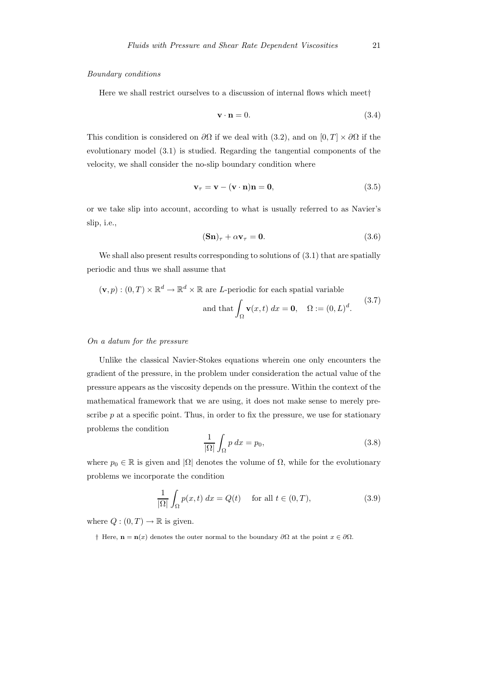#### Boundary conditions

Here we shall restrict ourselves to a discussion of internal flows which meet†

$$
\mathbf{v} \cdot \mathbf{n} = 0. \tag{3.4}
$$

This condition is considered on  $\partial\Omega$  if we deal with (3.2), and on [0, T] ×  $\partial\Omega$  if the evolutionary model (3.1) is studied. Regarding the tangential components of the velocity, we shall consider the no-slip boundary condition where

$$
\mathbf{v}_{\tau} = \mathbf{v} - (\mathbf{v} \cdot \mathbf{n})\mathbf{n} = \mathbf{0},\tag{3.5}
$$

or we take slip into account, according to what is usually referred to as Navier's slip, i.e.,

$$
(\mathbf{Sn})_{\tau} + \alpha \mathbf{v}_{\tau} = \mathbf{0}.\tag{3.6}
$$

We shall also present results corresponding to solutions of  $(3.1)$  that are spatially periodic and thus we shall assume that

$$
(\mathbf{v}, p) : (0, T) \times \mathbb{R}^d \to \mathbb{R}^d \times \mathbb{R}
$$
 are *L*-periodic for each spatial variable  
and that  $\int_{\Omega} \mathbf{v}(x, t) dx = \mathbf{0}, \quad \Omega := (0, L)^d$ . (3.7)

#### On a datum for the pressure

Unlike the classical Navier-Stokes equations wherein one only encounters the gradient of the pressure, in the problem under consideration the actual value of the pressure appears as the viscosity depends on the pressure. Within the context of the mathematical framework that we are using, it does not make sense to merely prescribe  $p$  at a specific point. Thus, in order to fix the pressure, we use for stationary problems the condition

$$
\frac{1}{|\Omega|} \int_{\Omega} p \, dx = p_0,\tag{3.8}
$$

where  $p_0 \in \mathbb{R}$  is given and  $|\Omega|$  denotes the volume of  $\Omega$ , while for the evolutionary problems we incorporate the condition

$$
\frac{1}{|\Omega|} \int_{\Omega} p(x, t) dx = Q(t) \quad \text{for all } t \in (0, T), \tag{3.9}
$$

where  $Q: (0, T) \to \mathbb{R}$  is given.

† Here, **n** = **n**(*x*) denotes the outer normal to the boundary ∂Ω at the point  $x \in \partial\Omega$ .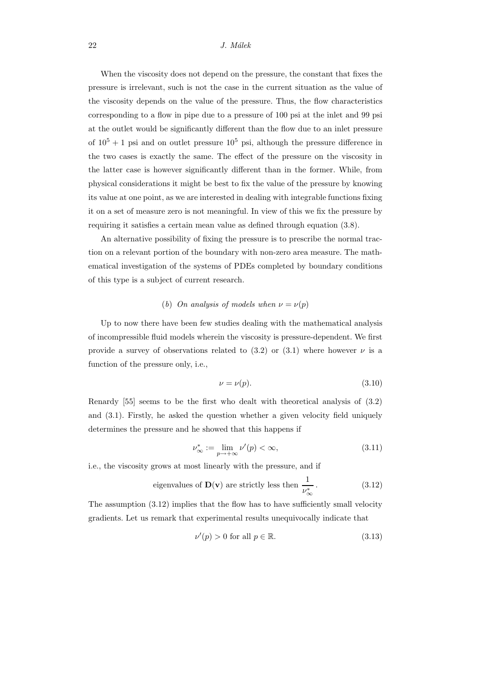When the viscosity does not depend on the pressure, the constant that fixes the pressure is irrelevant, such is not the case in the current situation as the value of the viscosity depends on the value of the pressure. Thus, the flow characteristics corresponding to a flow in pipe due to a pressure of 100 psi at the inlet and 99 psi at the outlet would be significantly different than the flow due to an inlet pressure of  $10^5 + 1$  psi and on outlet pressure  $10^5$  psi, although the pressure difference in the two cases is exactly the same. The effect of the pressure on the viscosity in the latter case is however significantly different than in the former. While, from physical considerations it might be best to fix the value of the pressure by knowing its value at one point, as we are interested in dealing with integrable functions fixing it on a set of measure zero is not meaningful. In view of this we fix the pressure by requiring it satisfies a certain mean value as defined through equation (3.8).

An alternative possibility of fixing the pressure is to prescribe the normal traction on a relevant portion of the boundary with non-zero area measure. The mathematical investigation of the systems of PDEs completed by boundary conditions of this type is a subject of current research.

# (b) On analysis of models when  $\nu = \nu(p)$

Up to now there have been few studies dealing with the mathematical analysis of incompressible fluid models wherein the viscosity is pressure-dependent. We first provide a survey of observations related to  $(3.2)$  or  $(3.1)$  where however  $\nu$  is a function of the pressure only, i.e.,

$$
\nu = \nu(p). \tag{3.10}
$$

Renardy [55] seems to be the first who dealt with theoretical analysis of (3.2) and (3.1). Firstly, he asked the question whether a given velocity field uniquely determines the pressure and he showed that this happens if

$$
\nu_{\infty}^* := \lim_{p \to +\infty} \nu'(p) < \infty,\tag{3.11}
$$

i.e., the viscosity grows at most linearly with the pressure, and if

eigenvalues of 
$$
\mathbf{D(v)}
$$
 are strictly less then  $\frac{1}{\nu_{\infty}^*}$ . (3.12)

The assumption (3.12) implies that the flow has to have sufficiently small velocity gradients. Let us remark that experimental results unequivocally indicate that

$$
\nu'(p) > 0 \text{ for all } p \in \mathbb{R}.\tag{3.13}
$$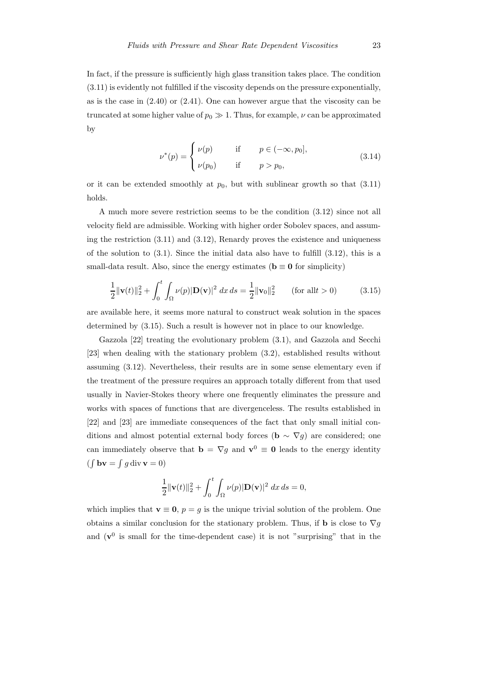In fact, if the pressure is sufficiently high glass transition takes place. The condition (3.11) is evidently not fulfilled if the viscosity depends on the pressure exponentially, as is the case in  $(2.40)$  or  $(2.41)$ . One can however argue that the viscosity can be truncated at some higher value of  $p_0 \gg 1$ . Thus, for example,  $\nu$  can be approximated by

$$
\nu^*(p) = \begin{cases} \nu(p) & \text{if } p \in (-\infty, p_0], \\ \nu(p_0) & \text{if } p > p_0, \end{cases}
$$
 (3.14)

or it can be extended smoothly at  $p_0$ , but with sublinear growth so that  $(3.11)$ holds.

A much more severe restriction seems to be the condition (3.12) since not all velocity field are admissible. Working with higher order Sobolev spaces, and assuming the restriction (3.11) and (3.12), Renardy proves the existence and uniqueness of the solution to  $(3.1)$ . Since the initial data also have to fulfill  $(3.12)$ , this is a small-data result. Also, since the energy estimates ( $\mathbf{b} \equiv \mathbf{0}$  for simplicity)

$$
\frac{1}{2} \|\mathbf{v}(t)\|_{2}^{2} + \int_{0}^{t} \int_{\Omega} \nu(p) |\mathbf{D}(\mathbf{v})|^{2} dx ds = \frac{1}{2} \|\mathbf{v}_{0}\|_{2}^{2} \qquad \text{(for all } t > 0\text{)} \tag{3.15}
$$

are available here, it seems more natural to construct weak solution in the spaces determined by (3.15). Such a result is however not in place to our knowledge.

Gazzola [22] treating the evolutionary problem (3.1), and Gazzola and Secchi [23] when dealing with the stationary problem (3.2), established results without assuming (3.12). Nevertheless, their results are in some sense elementary even if the treatment of the pressure requires an approach totally different from that used usually in Navier-Stokes theory where one frequently eliminates the pressure and works with spaces of functions that are divergenceless. The results established in [22] and [23] are immediate consequences of the fact that only small initial conditions and almost potential external body forces ( $\mathbf{b} \sim \nabla g$ ) are considered; one can immediately observe that  $\mathbf{b} = \nabla g$  and  $\mathbf{v}^0 \equiv \mathbf{0}$  leads to the energy identity  $(\int$ **bv** =  $\int$ *g* div **v** = 0)

$$
\frac{1}{2} \|\mathbf{v}(t)\|_2^2 + \int_0^t \int_{\Omega} \nu(p) |\mathbf{D}(\mathbf{v})|^2 \, dx \, ds = 0,
$$

which implies that  $\mathbf{v} \equiv \mathbf{0}$ ,  $p = g$  is the unique trivial solution of the problem. One obtains a similar conclusion for the stationary problem. Thus, if **b** is close to  $\nabla q$ and  $(v^0)$  is small for the time-dependent case) it is not "surprising" that in the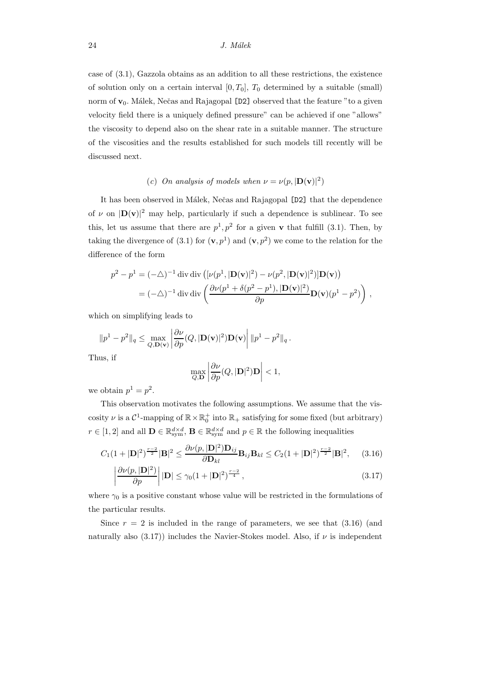24 J. Málek

case of (3.1), Gazzola obtains as an addition to all these restrictions, the existence of solution only on a certain interval  $[0, T_0]$ ,  $T_0$  determined by a suitable (small) norm of  $v_0$ . Málek, Nečas and Rajagopal [D2] observed that the feature "to a given velocity field there is a uniquely defined pressure" can be achieved if one "allows" the viscosity to depend also on the shear rate in a suitable manner. The structure of the viscosities and the results established for such models till recently will be discussed next.

# (c) On analysis of models when  $\nu = \nu(p, |\mathbf{D}(\mathbf{v})|^2)$

It has been observed in Málek, Nečas and Rajagopal [D2] that the dependence of  $\nu$  on  $|\mathbf{D}(\mathbf{v})|^2$  may help, particularly if such a dependence is sublinear. To see this, let us assume that there are  $p^1, p^2$  for a given **v** that fulfill (3.1). Then, by taking the divergence of (3.1) for  $(v, p<sup>1</sup>)$  and  $(v, p<sup>2</sup>)$  we come to the relation for the difference of the form

$$
p^2 - p^1 = (-\Delta)^{-1} \operatorname{div} \operatorname{div} \left( [\nu(p^1, |\mathbf{D}(\mathbf{v})|^2) - \nu(p^2, |\mathbf{D}(\mathbf{v})|^2) \right) \mathbf{D}(\mathbf{v}) \right)
$$
  
=  $(-\Delta)^{-1} \operatorname{div} \operatorname{div} \left( \frac{\partial \nu(p^1 + \delta(p^2 - p^1), |\mathbf{D}(\mathbf{v})|^2)}{\partial p} \mathbf{D}(\mathbf{v})(p^1 - p^2) \right),$ 

which on simplifying leads to

$$
||p^1 - p^2||_q \le \max_{Q, \mathbf{D(v)}} \left| \frac{\partial \nu}{\partial p}(Q, |\mathbf{D(v)}|^2) \mathbf{D(v)} \right| ||p^1 - p^2||_q.
$$
  
Thus, if 
$$
\max_{Q, \mathbf{D}} \left| \frac{\partial \nu}{\partial p}(Q, |\mathbf{D}|^2) \mathbf{D} \right| < 1,
$$

we obtain  $p^1 = p^2$ .

This observation motivates the following assumptions. We assume that the viscosity  $\nu$  is a  $\mathcal{C}^1$ -mapping of  $\mathbb{R} \times \mathbb{R}_0^+$  into  $\mathbb{R}_+$  satisfying for some fixed (but arbitrary)  $r \in [1, 2]$  and all  $\mathbf{D} \in \mathbb{R}^{d \times d}_{sym}$ ,  $\mathbf{B} \in \mathbb{R}^{d \times d}_{sym}$  and  $p \in \mathbb{R}$  the following inequalities

$$
C_1(1+|\mathbf{D}|^2)^{\frac{r-2}{2}}|\mathbf{B}|^2 \le \frac{\partial \nu(p,|\mathbf{D}|^2)\mathbf{D}_{ij}}{\partial \mathbf{D}_{kl}} \mathbf{B}_{ij}\mathbf{B}_{kl} \le C_2(1+|\mathbf{D}|^2)^{\frac{r-2}{2}}|\mathbf{B}|^2, \quad (3.16)
$$

$$
\left| \frac{\partial \nu(p, |\mathbf{D}|^2)}{\partial p} \right| |\mathbf{D}| \le \gamma_0 (1 + |\mathbf{D}|^2)^{\frac{r-2}{4}}, \tag{3.17}
$$

where  $\gamma_0$  is a positive constant whose value will be restricted in the formulations of the particular results.

Since  $r = 2$  is included in the range of parameters, we see that  $(3.16)$  (and naturally also (3.17)) includes the Navier-Stokes model. Also, if  $\nu$  is independent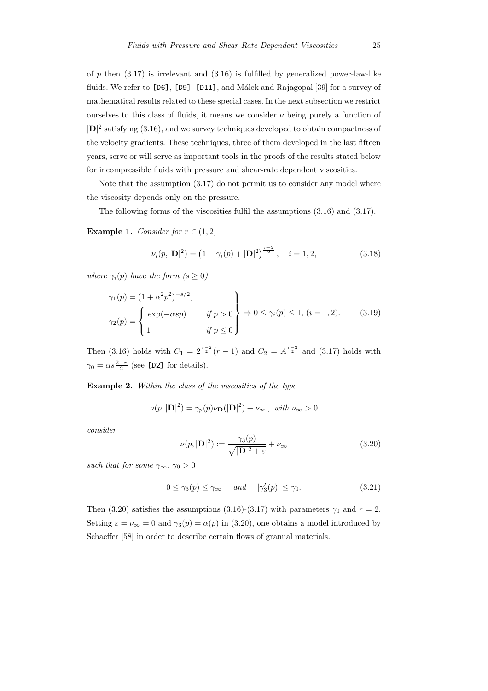of p then  $(3.17)$  is irrelevant and  $(3.16)$  is fulfilled by generalized power-law-like fluids. We refer to  $[D6]$ ,  $[D9] - [D11]$ , and Málek and Rajagopal [39] for a survey of mathematical results related to these special cases. In the next subsection we restrict ourselves to this class of fluids, it means we consider  $\nu$  being purely a function of  $|\mathbf{D}|^2$  satisfying (3.16), and we survey techniques developed to obtain compactness of the velocity gradients. These techniques, three of them developed in the last fifteen years, serve or will serve as important tools in the proofs of the results stated below for incompressible fluids with pressure and shear-rate dependent viscosities.

Note that the assumption (3.17) do not permit us to consider any model where the viscosity depends only on the pressure.

The following forms of the viscosities fulfil the assumptions (3.16) and (3.17).

Example 1. Consider for  $r \in (1, 2]$ 

$$
\nu_i(p, |\mathbf{D}|^2) = \left(1 + \gamma_i(p) + |\mathbf{D}|^2\right)^{\frac{r-2}{2}}, \quad i = 1, 2,
$$
\n(3.18)

where  $\gamma_i(p)$  have the form  $(s \geq 0)$ 

$$
\gamma_1(p) = (1 + \alpha^2 p^2)^{-s/2},
$$
  
\n
$$
\gamma_2(p) = \begin{cases} \exp(-\alpha sp) & \text{if } p > 0 \\ 1 & \text{if } p \le 0 \end{cases} \Rightarrow 0 \le \gamma_i(p) \le 1, (i = 1, 2). \tag{3.19}
$$

Then (3.16) holds with  $C_1 = 2^{\frac{r-2}{2}}(r-1)$  and  $C_2 = A^{\frac{r-2}{2}}$  and (3.17) holds with  $\gamma_0 = \alpha s \frac{2-r}{2}$  (see [D2] for details).

Example 2. Within the class of the viscosities of the type

$$
\nu(p, |\mathbf{D}|^2) = \gamma_p(p)\nu_{\mathbf{D}}(|\mathbf{D}|^2) + \nu_{\infty}, \text{ with } \nu_{\infty} > 0
$$

consider

$$
\nu(p, |\mathbf{D}|^2) := \frac{\gamma_3(p)}{\sqrt{|\mathbf{D}|^2 + \varepsilon}} + \nu_{\infty}
$$
\n(3.20)

such that for some  $\gamma_{\infty}, \gamma_0 > 0$ 

$$
0 \le \gamma_3(p) \le \gamma_\infty \quad \text{and} \quad |\gamma_3'(p)| \le \gamma_0. \tag{3.21}
$$

Then (3.20) satisfies the assumptions (3.16)-(3.17) with parameters  $\gamma_0$  and  $r = 2$ . Setting  $\varepsilon = \nu_{\infty} = 0$  and  $\gamma_3(p) = \alpha(p)$  in (3.20), one obtains a model introduced by Schaeffer [58] in order to describe certain flows of granual materials.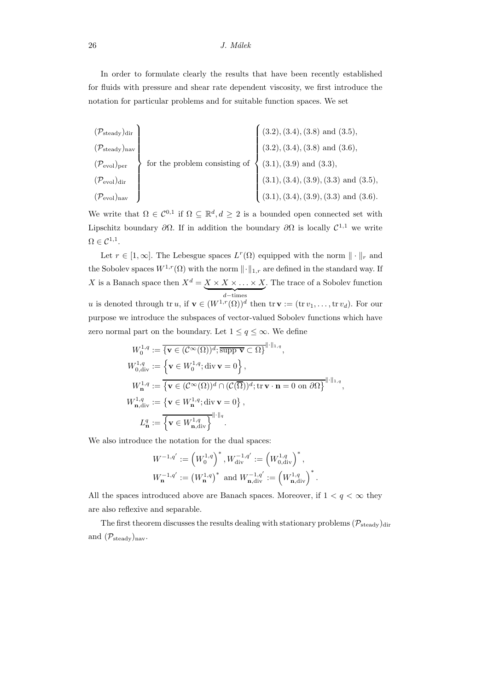In order to formulate clearly the results that have been recently established for fluids with pressure and shear rate dependent viscosity, we first introduce the notation for particular problems and for suitable function spaces. We set

$$
\begin{pmatrix}\n(\mathcal{P}_{\text{steady}})_{\text{dir}} \\
(\mathcal{P}_{\text{steady}})_{\text{nav}} \\
(\mathcal{P}_{\text{evol}})_{\text{per}} \\
(\mathcal{P}_{\text{evol}})_{\text{dur}}\n\end{pmatrix}
$$
\nfor the problem consisting of\n
$$
\begin{pmatrix}\n(3.2), (3.4), (3.8) \text{ and } (3.5), \\
(3.2), (3.4), (3.8) \text{ and } (3.6), \\
(3.1), (3.9) \text{ and } (3.3), \\
(3.1), (3.4), (3.9), (3.3) \text{ and } (3.5), \\
(3.1), (3.4), (3.9), (3.3) \text{ and } (3.6).\n\end{pmatrix}
$$

We write that  $\Omega \in \mathcal{C}^{0,1}$  if  $\Omega \subseteq \mathbb{R}^d, d \geq 2$  is a bounded open connected set with Lipschitz boundary  $\partial\Omega$ . If in addition the boundary  $\partial\Omega$  is locally  $\mathcal{C}^{1,1}$  we write  $\Omega \in \mathcal{C}^{1,1}.$ 

Let  $r \in [1,\infty]$ . The Lebesgue spaces  $L^r(\Omega)$  equipped with the norm  $\|\cdot\|_r$  and the Sobolev spaces  $W^{1,r}(\Omega)$  with the norm  $\lVert \cdot \rVert_{1,r}$  are defined in the standard way. If X is a Banach space then  $X^d = X \times X \times ... \times X$  $d$  −times . The trace of a Sobolev function u is denoted through tr u, if  $\mathbf{v} \in (W^{1,r}(\Omega))^d$  then  $\text{tr } \mathbf{v} := (\text{tr } v_1, \ldots, \text{tr } v_d)$ . For our purpose we introduce the subspaces of vector-valued Sobolev functions which have zero normal part on the boundary. Let  $1 \le q \le \infty$ . We define

$$
W_0^{1,q} := \overline{\{\mathbf{v} \in (\mathcal{C}^{\infty}(\Omega))^d; \operatorname{supp} \mathbf{v} \subset \Omega\}}^{\|\cdot\|_{1,q}},
$$
  
\n
$$
W_{0,\text{div}}^{1,q} := \overline{\{\mathbf{v} \in W_0^{1,q}; \operatorname{div} \mathbf{v} = 0\}},
$$
  
\n
$$
W_{\mathbf{n}}^{1,q} := \overline{\{\mathbf{v} \in (\mathcal{C}^{\infty}(\Omega))^d \cap (\mathcal{C}(\overline{\Omega}))^d; \operatorname{tr} \mathbf{v} \cdot \mathbf{n} = 0 \text{ on } \partial \Omega\}}^{\|\cdot\|_{1,q}},
$$
  
\n
$$
W_{\mathbf{n},\operatorname{div}}^{1,q} := \overline{\{\mathbf{v} \in W_{\mathbf{n}}^{1,q}; \operatorname{div} \mathbf{v} = 0\}},
$$
  
\n
$$
L_{\mathbf{n}}^q := \overline{\{\mathbf{v} \in W_{\mathbf{n},\operatorname{div}}^{1,q}\}}^{\|\cdot\|_{q}}.
$$

We also introduce the notation for the dual spaces:

$$
\begin{split} &W^{-1,q'}:=\left(W_0^{1,q}\right)^*, W_{\mathrm{div}}^{-1,q'}:=\left(W_{0,\mathrm{div}}^{1,q}\right)^*,\\ &W_{\mathbf{n}}^{-1,q'}:=\left(W_{\mathbf{n}}^{1,q}\right)^* \text{ and } W_{\mathbf{n},\mathrm{div}}^{-1,q'}:=\left(W_{\mathbf{n},\mathrm{div}}^{1,q}\right)^*. \end{split}
$$

All the spaces introduced above are Banach spaces. Moreover, if  $1 < q < \infty$  they are also reflexive and separable.

The first theorem discusses the results dealing with stationary problems  $(\mathcal{P}_{\text{steady}})_{\text{dir}}$ and  $(\mathcal{P}_{\text{steady}})_{\text{nav}}$ .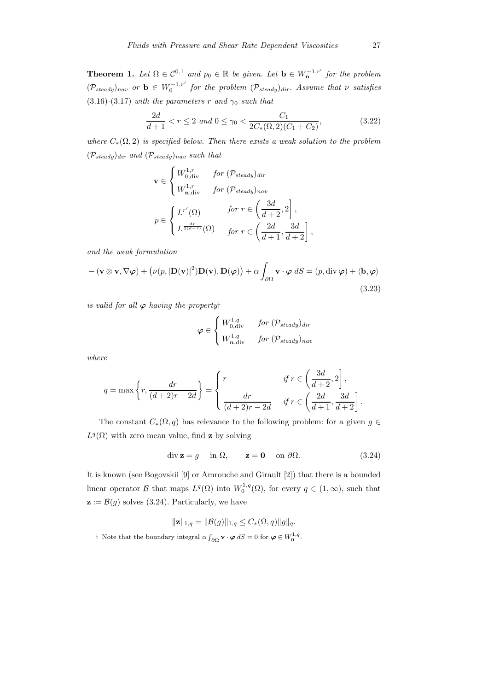**Theorem 1.** Let  $\Omega \in \mathcal{C}^{0,1}$  and  $p_0 \in \mathbb{R}$  be given. Let  $\mathbf{b} \in W_{\mathbf{n}}^{-1,r'}$  for the problem  $(\mathcal{P}_{steady})_{nav}$  or  $\mathbf{b} \in W_0^{-1,r'}$  for the problem  $(\mathcal{P}_{steady})_{dir}$ . Assume that  $\nu$  satisfies (3.16)-(3.17) with the parameters r and  $\gamma_0$  such that

$$
\frac{2d}{d+1} < r \le 2 \text{ and } 0 \le \gamma_0 < \frac{C_1}{2C_*(\Omega, 2)(C_1 + C_2)},\tag{3.22}
$$

where  $C_*(\Omega, 2)$  is specified below. Then there exists a weak solution to the problem  $(\mathcal{P}_{steady})_{dir}$  and  $(\mathcal{P}_{steady})_{nav}$  such that

$$
\mathbf{v} \in \begin{cases} W_{0, \text{div}}^{1,r} & \text{for } (\mathcal{P}_{steady})_{\text{dir}} \\ W_{\mathbf{n}, \text{div}}^{1,r} & \text{for } (\mathcal{P}_{steady})_{\text{nav}} \end{cases}
$$

$$
p \in \begin{cases} L^{r'}(\Omega) & \text{for } r \in \left(\frac{3d}{d+2}, 2\right], \\ L^{\frac{dr}{2(d-r)}}(\Omega) & \text{for } r \in \left(\frac{2d}{d+1}, \frac{3d}{d+2}\right], \end{cases}
$$

and the weak formulation

$$
-(\mathbf{v}\otimes\mathbf{v},\nabla\varphi)+(\nu(p,|\mathbf{D}(\mathbf{v})|^2)\mathbf{D}(\mathbf{v}),\mathbf{D}(\varphi))+\alpha\int_{\partial\Omega}\mathbf{v}\cdot\varphi\,dS=(p,\mathrm{div}\,\varphi)+\langle\mathbf{b},\varphi\rangle
$$
\n(3.23)

is valid for all  $\varphi$  having the property

$$
\varphi \in \begin{cases} W_{0,\text{div}}^{1,q} & \text{for } (\mathcal{P}_{steady})_{\text{dir}} \\ W_{\mathbf{n},\text{div}}^{1,q} & \text{for } (\mathcal{P}_{steady})_{\text{nav}} \end{cases}
$$

where

$$
q = \max\left\{r, \frac{dr}{(d+2)r - 2d}\right\} = \begin{cases} r & \text{if } r \in \left(\frac{3d}{d+2}, 2\right], \\ \frac{dr}{(d+2)r - 2d} & \text{if } r \in \left(\frac{2d}{d+1}, \frac{3d}{d+2}\right]. \end{cases}
$$

The constant  $C_*(\Omega, q)$  has relevance to the following problem: for a given  $q \in \Omega$  $L^q(\Omega)$  with zero mean value, find **z** by solving

$$
\operatorname{div} \mathbf{z} = g \quad \text{ in } \Omega, \qquad \mathbf{z} = \mathbf{0} \quad \text{ on } \partial \Omega. \tag{3.24}
$$

It is known (see Bogovskii [9] or Amrouche and Girault [2]) that there is a bounded linear operator  $\mathcal B$  that maps  $L^q(\Omega)$  into  $W_0^{1,q}(\Omega)$ , for every  $q \in (1,\infty)$ , such that  $\mathbf{z} := \mathcal{B}(g)$  solves (3.24). Particularly, we have

$$
\|\mathbf{z}\|_{1,q} = \|\mathcal{B}(g)\|_{1,q} \leq C_*(\Omega, q) \|g\|_q.
$$

<sup>†</sup> Note that the boundary integral  $\alpha \int_{\partial \Omega} \mathbf{v} \cdot \boldsymbol{\varphi} dS = 0$  for  $\boldsymbol{\varphi} \in W_0^{1,q}$ .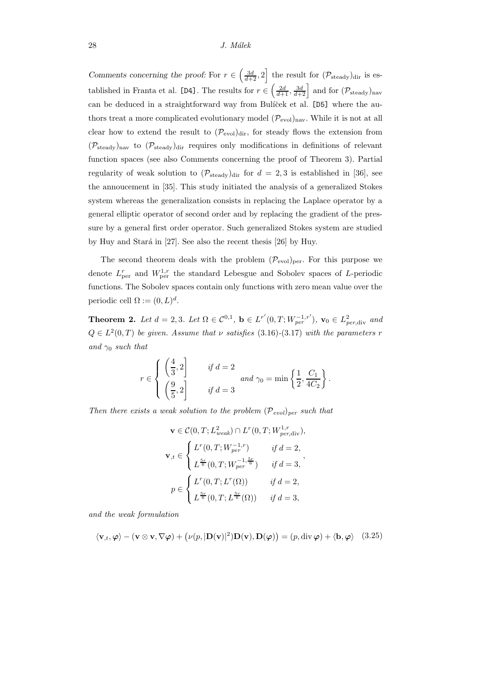Comments concerning the proof: For  $r \in \left(\frac{3d}{d+2}, 2\right]$  the result for  $(\mathcal{P}_{\text{steady}})_{\text{dir}}$  is established in Franta et al. [D4]. The results for  $r \in \left(\frac{2d}{d+1}, \frac{3d}{d+2}\right]$  and for  $(\mathcal{P}_{\text{steady}})_{\text{nav}}$ can be deduced in a straightforward way from Bulíček et al. [D5] where the authors treat a more complicated evolutionary model  $(\mathcal{P}_{\text{evol}})_{\text{nav}}$ . While it is not at all clear how to extend the result to  $(\mathcal{P}_{evol})_{dir}$ , for steady flows the extension from  $(\mathcal{P}_{\text{steady}})_{\text{nav}}$  to  $(\mathcal{P}_{\text{steady}})_{\text{dir}}$  requires only modifications in definitions of relevant function spaces (see also Comments concerning the proof of Theorem 3). Partial regularity of weak solution to  $(\mathcal{P}_{\text{steady}})_{\text{dir}}$  for  $d = 2, 3$  is established in [36], see the annoucement in [35]. This study initiated the analysis of a generalized Stokes system whereas the generalization consists in replacing the Laplace operator by a general elliptic operator of second order and by replacing the gradient of the pressure by a general first order operator. Such generalized Stokes system are studied by Huy and Stará in  $[27]$ . See also the recent thesis  $[26]$  by Huy.

The second theorem deals with the problem  $(\mathcal{P}_{evol})_{per}$ . For this purpose we denote  $L_{\text{per}}^{r}$  and  $W_{\text{per}}^{1,r}$  the standard Lebesgue and Sobolev spaces of L-periodic functions. The Sobolev spaces contain only functions with zero mean value over the periodic cell  $\Omega := (0, L)^d$ .

**Theorem 2.** Let  $d = 2, 3$ . Let  $\Omega \in C^{0,1}$ ,  $\mathbf{b} \in L^{r'}(0,T;W_{per}^{-1,r'})$ ,  $\mathbf{v}_0 \in L^2_{per,\text{div}}$  and  $Q \in L^2(0,T)$  be given. Assume that  $\nu$  satisfies (3.16)-(3.17) with the parameters r and  $\gamma_0$  such that

$$
r \in \begin{cases} \left(\frac{4}{3}, 2\right] & \text{if } d = 2\\ \left(\frac{9}{5}, 2\right] & \text{if } d = 3 \end{cases} and \ \gamma_0 = \min\left\{\frac{1}{2}, \frac{C_1}{4C_2}\right\}.
$$

Then there exists a weak solution to the problem  $(\mathcal{P}_{evol})_{per}$  such that

$$
\mathbf{v} \in \mathcal{C}(0, T; L_{weak}^2) \cap L^r(0, T; W_{per, \text{div}}^{1, r}),
$$
  

$$
\mathbf{v}_{,t} \in \begin{cases} L^r(0, T; W_{per}^{-1, r}) & \text{if } d = 2, \\ L^{\frac{5r}{6}}(0, T; W_{per}^{-1, \frac{5r}{6}}) & \text{if } d = 3, \end{cases},
$$
  

$$
p \in \begin{cases} L^r(0, T; L^r(\Omega)) & \text{if } d = 2, \\ L^{\frac{5r}{6}}(0, T; L^{\frac{5r}{6}}(\Omega)) & \text{if } d = 3, \end{cases}
$$

and the weak formulation

$$
\langle \mathbf{v}_{,t}, \boldsymbol{\varphi} \rangle - (\mathbf{v} \otimes \mathbf{v}, \nabla \boldsymbol{\varphi}) + (\nu(p, |\mathbf{D}(\mathbf{v})|^2) \mathbf{D}(\mathbf{v}), \mathbf{D}(\boldsymbol{\varphi})) = (p, \text{div } \boldsymbol{\varphi}) + \langle \mathbf{b}, \boldsymbol{\varphi} \rangle \quad (3.25)
$$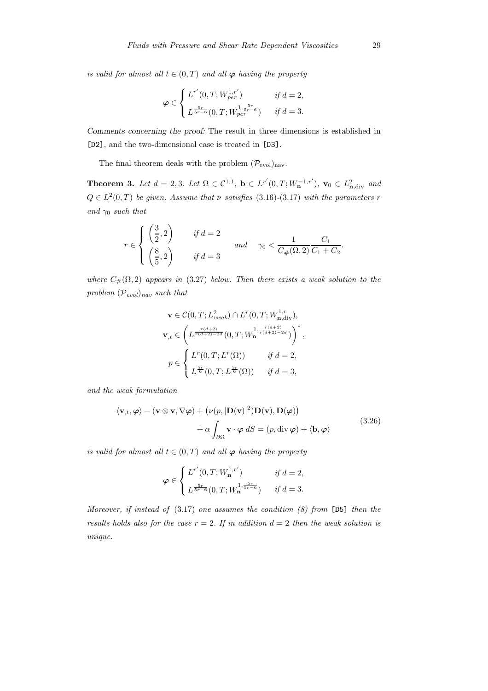is valid for almost all  $t \in (0, T)$  and all  $\varphi$  having the property

$$
\varphi \in \begin{cases} L^{r'}(0,T;W^{1,r'}_{per}) & \text{if } d = 2, \\ L^{\frac{5r}{5r-6}}(0,T;W^{1,\frac{5r}{5r-6}}_{per}) & \text{if } d = 3. \end{cases}
$$

Comments concerning the proof: The result in three dimensions is established in [D2], and the two-dimensional case is treated in [D3].

The final theorem deals with the problem  $(\mathcal{P}_{\text{evol}})_{\text{nav}}$ .

**Theorem 3.** Let  $d = 2, 3$ . Let  $\Omega \in C^{1,1}$ ,  $\mathbf{b} \in L^{r'}(0,T;W_{\mathbf{n}}^{-1,r'})$ ,  $\mathbf{v}_0 \in L^2_{\mathbf{n},\text{div}}$  and  $Q \in L^2(0,T)$  be given. Assume that  $\nu$  satisfies (3.16)-(3.17) with the parameters r and  $\gamma_0$  such that

$$
r \in \begin{cases} \left(\frac{3}{2}, 2\right) & \text{if } d = 2\\ \left(\frac{8}{5}, 2\right) & \text{if } d = 3 \end{cases} \quad \text{and} \quad \gamma_0 < \frac{1}{C_{\#}(\Omega, 2)} \frac{C_1}{C_1 + C_2}.
$$

where  $C_{\#}(\Omega, 2)$  appears in (3.27) below. Then there exists a weak solution to the problem  $(\mathcal{P}_{evol})_{nav}$  such that

$$
\mathbf{v} \in \mathcal{C}(0, T; L_{weak}^2) \cap L^r(0, T; W_{\mathbf{n}, \text{div}}^{1, r}),
$$
  

$$
\mathbf{v}_{,t} \in \left( L^{\frac{r(d+2)}{r(d+2)-2d}}(0, T; W_{\mathbf{n}}^{1, \frac{r(d+2)}{r(d+2)-2d}}) \right)^*,
$$
  

$$
p \in \begin{cases} L^r(0, T; L^r(\Omega)) & \text{if } d = 2, \\ L^{\frac{5r}{6}}(0, T; L^{\frac{5r}{6}}(\Omega)) & \text{if } d = 3, \end{cases}
$$

and the weak formulation

$$
\langle \mathbf{v}_{,t}, \boldsymbol{\varphi} \rangle - (\mathbf{v} \otimes \mathbf{v}, \nabla \boldsymbol{\varphi}) + (\nu(p, |\mathbf{D}(\mathbf{v})|^2) \mathbf{D}(\mathbf{v}), \mathbf{D}(\boldsymbol{\varphi})) + \alpha \int_{\partial \Omega} \mathbf{v} \cdot \boldsymbol{\varphi} \, dS = (p, \text{div } \boldsymbol{\varphi}) + \langle \mathbf{b}, \boldsymbol{\varphi} \rangle
$$
(3.26)

is valid for almost all  $t \in (0, T)$  and all  $\varphi$  having the property

$$
\varphi \in \begin{cases} L^{r'}(0,T;W_{\mathbf{n}}^{1,r'}) & \text{if } d = 2, \\ L^{\frac{5r}{5r-6}}(0,T;W_{\mathbf{n}}^{1,\frac{5r}{5r-6}}) & \text{if } d = 3. \end{cases}
$$

Moreover, if instead of  $(3.17)$  one assumes the condition  $(8)$  from [D5] then the results holds also for the case  $r = 2$ . If in addition  $d = 2$  then the weak solution is unique.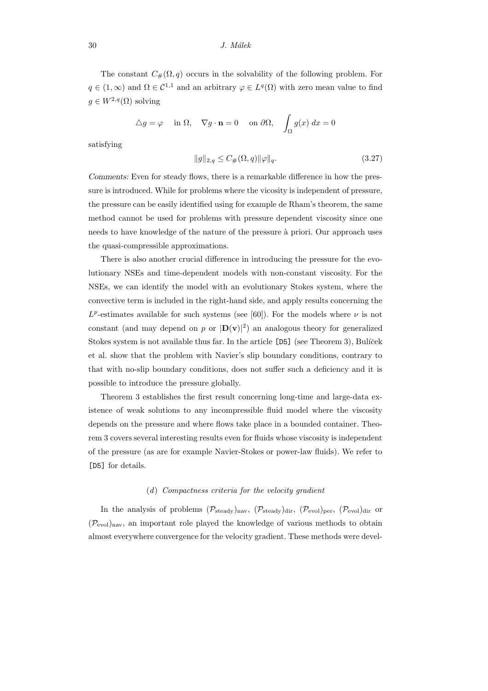#### $30$  J. Málek

The constant  $C_{\#}(\Omega, q)$  occurs in the solvability of the following problem. For  $q \in (1,\infty)$  and  $\Omega \in \mathcal{C}^{1,1}$  and an arbitrary  $\varphi \in L^q(\Omega)$  with zero mean value to find  $g \in W^{2,q}(\Omega)$  solving

$$
\triangle g = \varphi \quad \text{in } \Omega, \quad \nabla g \cdot \mathbf{n} = 0 \quad \text{on } \partial \Omega, \quad \int_{\Omega} g(x) \, dx = 0
$$

satisfying

$$
||g||_{2,q} \le C_{\#}(\Omega, q) ||\varphi||_{q}.
$$
\n(3.27)

Comments: Even for steady flows, there is a remarkable difference in how the pressure is introduced. While for problems where the vicosity is independent of pressure, the pressure can be easily identified using for example de Rham's theorem, the same method cannot be used for problems with pressure dependent viscosity since one needs to have knowledge of the nature of the pressure a` priori. Our approach uses the quasi-compressible approximations.

There is also another crucial difference in introducing the pressure for the evolutionary NSEs and time-dependent models with non-constant viscosity. For the NSEs, we can identify the model with an evolutionary Stokes system, where the convective term is included in the right-hand side, and apply results concerning the  $L^p$ -estimates available for such systems (see [60]). For the models where  $\nu$  is not constant (and may depend on p or  $|\mathbf{D}(v)|^2$ ) an analogous theory for generalized Stokes system is not available thus far. In the article  $[D5]$  (see Theorem 3), Bulíček et al. show that the problem with Navier's slip boundary conditions, contrary to that with no-slip boundary conditions, does not suffer such a deficiency and it is possible to introduce the pressure globally.

Theorem 3 establishes the first result concerning long-time and large-data existence of weak solutions to any incompressible fluid model where the viscosity depends on the pressure and where flows take place in a bounded container. Theorem 3 covers several interesting results even for fluids whose viscosity is independent of the pressure (as are for example Navier-Stokes or power-law fluids). We refer to [D5] for details.

#### (d) Compactness criteria for the velocity gradient

In the analysis of problems  $(\mathcal{P}_{\text{steady}})_{\text{nav}}, (\mathcal{P}_{\text{steady}})_{\text{dir}}, (\mathcal{P}_{\text{evol}})_{\text{per}}, (\mathcal{P}_{\text{evol}})_{\text{dir}}$  or  $(\mathcal{P}_{\text{evol}})_{\text{nav}},$  an important role played the knowledge of various methods to obtain almost everywhere convergence for the velocity gradient. These methods were devel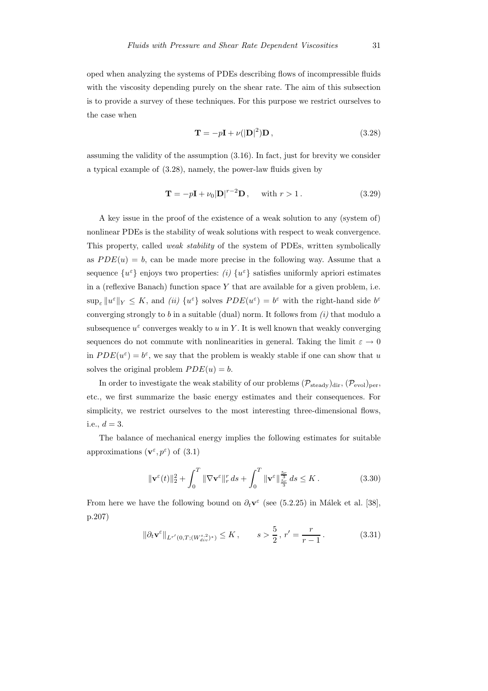oped when analyzing the systems of PDEs describing flows of incompressible fluids with the viscosity depending purely on the shear rate. The aim of this subsection is to provide a survey of these techniques. For this purpose we restrict ourselves to the case when

$$
\mathbf{T} = -p\mathbf{I} + \nu(|\mathbf{D}|^2)\mathbf{D},\tag{3.28}
$$

assuming the validity of the assumption (3.16). In fact, just for brevity we consider a typical example of (3.28), namely, the power-law fluids given by

$$
\mathbf{T} = -p\mathbf{I} + \nu_0 |\mathbf{D}|^{r-2} \mathbf{D}, \quad \text{with } r > 1.
$$
 (3.29)

A key issue in the proof of the existence of a weak solution to any (system of) nonlinear PDEs is the stability of weak solutions with respect to weak convergence. This property, called weak stability of the system of PDEs, written symbolically as  $PDE(u) = b$ , can be made more precise in the following way. Assume that a sequence  $\{u^{\varepsilon}\}\$ enjoys two properties: (i)  $\{u^{\varepsilon}\}\$  satisfies uniformly apriori estimates in a (reflexive Banach) function space  $Y$  that are available for a given problem, i.e.  $\sup_{\varepsilon} ||u^{\varepsilon}||_Y \leq K$ , and (ii)  $\{u^{\varepsilon}\}\$  solves  $PDE(u^{\varepsilon}) = b^{\varepsilon}$  with the right-hand side  $b^{\varepsilon}$ converging strongly to b in a suitable (dual) norm. It follows from  $(i)$  that modulo a subsequence  $u^{\varepsilon}$  converges weakly to u in Y. It is well known that weakly converging sequences do not commute with nonlinearities in general. Taking the limit  $\varepsilon \to 0$ in  $PDE(u^{\varepsilon}) = b^{\varepsilon}$ , we say that the problem is weakly stable if one can show that u solves the original problem  $PDE(u) = b$ .

In order to investigate the weak stability of our problems  $(\mathcal{P}_{\text{steady}})_{\text{dir}}, (\mathcal{P}_{\text{evol}})_{\text{per}},$ etc., we first summarize the basic energy estimates and their consequences. For simplicity, we restrict ourselves to the most interesting three-dimensional flows, i.e.,  $d = 3$ .

The balance of mechanical energy implies the following estimates for suitable approximations  $(\mathbf{v}^\varepsilon, p^\varepsilon)$  of  $(3.1)$ 

$$
\|\mathbf{v}^{\varepsilon}(t)\|_{2}^{2} + \int_{0}^{T} \|\nabla \mathbf{v}^{\varepsilon}\|_{r}^{r} ds + \int_{0}^{T} \|\mathbf{v}^{\varepsilon}\|_{\frac{5r}{3}}^{\frac{5r}{3}} ds \leq K.
$$
 (3.30)

From here we have the following bound on  $\partial_t \mathbf{v}^{\varepsilon}$  (see (5.2.25) in Málek et al. [38], p.207)

$$
\|\partial_t \mathbf{v}^{\varepsilon}\|_{L^{r'}(0,T;(W^{s,2}_{div})^*)} \le K, \qquad s > \frac{5}{2}, r' = \frac{r}{r-1}.
$$
 (3.31)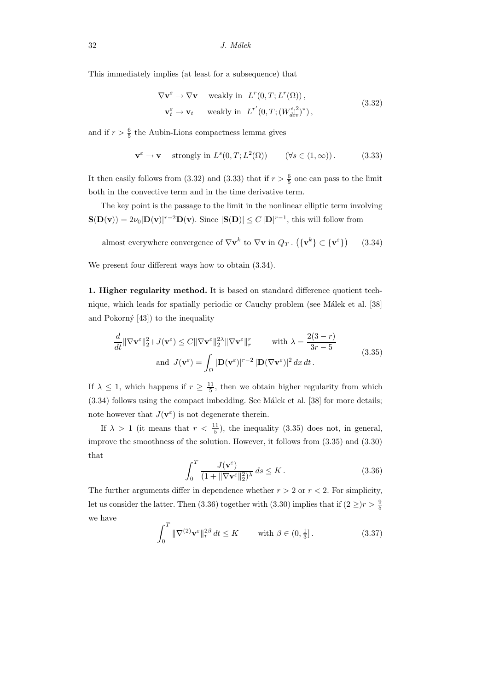This immediately implies (at least for a subsequence) that

$$
\nabla \mathbf{v}^{\varepsilon} \to \nabla \mathbf{v} \quad \text{ weakly in } L^{r}(0, T; L^{r}(\Omega)),
$$
  

$$
\mathbf{v}_{t}^{\varepsilon} \to \mathbf{v}_{t} \quad \text{ weakly in } L^{r'}(0, T; (W_{div}^{s,2})^{*}),
$$
 (3.32)

and if  $r > \frac{6}{5}$  the Aubin-Lions compactness lemma gives

$$
\mathbf{v}^{\varepsilon} \to \mathbf{v} \quad \text{ strongly in } L^{s}(0,T;L^{2}(\Omega)) \qquad (\forall s \in \langle 1, \infty) ). \tag{3.33}
$$

It then easily follows from (3.32) and (3.33) that if  $r > \frac{6}{5}$  one can pass to the limit both in the convective term and in the time derivative term.

The key point is the passage to the limit in the nonlinear elliptic term involving  $S(D(v)) = 2\nu_0|D(v)|^{r-2}D(v)$ . Since  $|S(D)| \le C|D|^{r-1}$ , this will follow from

almost everywhere convergence of  $\nabla \mathbf{v}^k$  to  $\nabla \mathbf{v}$  in  $Q_T$ .  $(\{\mathbf{v}^k\} \subset {\{\mathbf{v}^{\varepsilon}\}})$ (3.34)

We present four different ways how to obtain  $(3.34)$ .

1. Higher regularity method. It is based on standard difference quotient technique, which leads for spatially periodic or Cauchy problem (see Málek et al. [38] and Pokorný  $[43]$  to the inequality

$$
\frac{d}{dt} \|\nabla \mathbf{v}^{\varepsilon}\|_{2}^{2} + J(\mathbf{v}^{\varepsilon}) \le C \|\nabla \mathbf{v}^{\varepsilon}\|_{2}^{2} \|\nabla \mathbf{v}^{\varepsilon}\|_{r}^{r} \qquad \text{with } \lambda = \frac{2(3-r)}{3r-5}
$$
\nand  $J(\mathbf{v}^{\varepsilon}) = \int_{\Omega} |\mathbf{D}(\mathbf{v}^{\varepsilon})|^{r-2} |\mathbf{D}(\nabla \mathbf{v}^{\varepsilon})|^{2} dx dt$ .\n
$$
(3.35)
$$

If  $\lambda \leq 1$ , which happens if  $r \geq \frac{11}{5}$ , then we obtain higher regularity from which  $(3.34)$  follows using the compact imbedding. See Málek et al. [38] for more details: note however that  $J(\mathbf{v}^{\varepsilon})$  is not degenerate therein.

If  $\lambda > 1$  (it means that  $r < \frac{11}{5}$ ), the inequality (3.35) does not, in general, improve the smoothness of the solution. However, it follows from (3.35) and (3.30) that

$$
\int_0^T \frac{J(\mathbf{v}^{\varepsilon})}{(1 + \|\nabla \mathbf{v}^{\varepsilon}\|_2^2)^{\lambda}} ds \le K.
$$
\n(3.36)

The further arguments differ in dependence whether  $r > 2$  or  $r < 2$ . For simplicity, let us consider the latter. Then (3.36) together with (3.30) implies that if  $(2 \geq) r > \frac{9}{5}$ we have

$$
\int_0^T \|\nabla^{(2)} \mathbf{v}^{\varepsilon}\|_r^{2\beta} dt \le K \quad \text{with } \beta \in (0, \frac{1}{3}].
$$
 (3.37)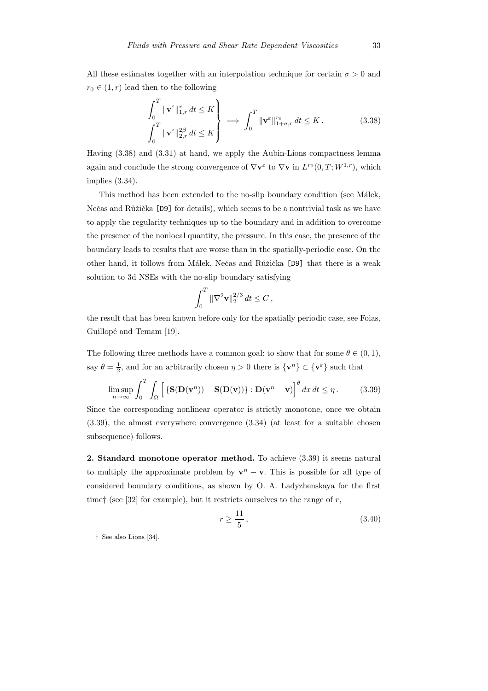All these estimates together with an interpolation technique for certain  $\sigma > 0$  and  $r_0 \in (1, r)$  lead then to the following

$$
\int_0^T \|\mathbf{v}^{\varepsilon}\|_{1,r}^r dt \le K
$$
\n
$$
\int_0^T \|\mathbf{v}^{\varepsilon}\|_{2,r}^{2\beta} dt \le K
$$
\n
$$
\int_0^T \|\mathbf{v}^{\varepsilon}\|_{1+\sigma,r}^{r_0} dt \le K.
$$
\n(3.38)

Having (3.38) and (3.31) at hand, we apply the Aubin-Lions compactness lemma again and conclude the strong convergence of  $\nabla \mathbf{v}^{\varepsilon}$  to  $\nabla \mathbf{v}$  in  $L^{r_0}(0,T;W^{1,r})$ , which implies (3.34).

This method has been extended to the no-slip boundary condition (see Málek, Nečas and Růžička [D9] for details), which seems to be a nontrivial task as we have to apply the regularity techniques up to the boundary and in addition to overcome the presence of the nonlocal quantity, the pressure. In this case, the presence of the boundary leads to results that are worse than in the spatially-periodic case. On the other hand, it follows from Málek, Nečas and Růžička [D9] that there is a weak solution to 3d NSEs with the no-slip boundary satisfying

$$
\int_0^T \|\nabla^2 \mathbf{v}\|_2^{2/3} dt \le C \,,
$$

the result that has been known before only for the spatially periodic case, see Foias, Guillopé and Temam [19].

The following three methods have a common goal: to show that for some  $\theta \in (0,1)$ , say  $\theta = \frac{1}{2}$ , and for an arbitrarily chosen  $\eta > 0$  there is  $\{v^n\} \subset \{v^{\varepsilon}\}\$  such that

$$
\limsup_{n \to \infty} \int_0^T \int_{\Omega} \left[ \left\{ \mathbf{S}(\mathbf{D}(\mathbf{v}^n)) - \mathbf{S}(\mathbf{D}(\mathbf{v})) \right\} : \mathbf{D}(\mathbf{v}^n - \mathbf{v}) \right]^\theta dx dt \le \eta. \tag{3.39}
$$

Since the corresponding nonlinear operator is strictly monotone, once we obtain (3.39), the almost everywhere convergence (3.34) (at least for a suitable chosen subsequence) follows.

2. Standard monotone operator method. To achieve (3.39) it seems natural to multiply the approximate problem by  $\mathbf{v}^n - \mathbf{v}$ . This is possible for all type of considered boundary conditions, as shown by O. A. Ladyzhenskaya for the first timet (see [32] for example), but it restricts ourselves to the range of r,

$$
r \ge \frac{11}{5},\tag{3.40}
$$

† See also Lions [34].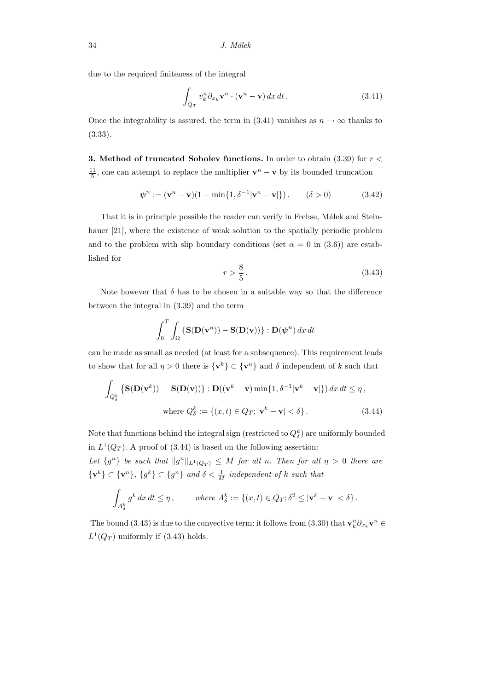due to the required finiteness of the integral

$$
\int_{Q_T} v_k^n \partial_{x_k} \mathbf{v}^n \cdot (\mathbf{v}^n - \mathbf{v}) \, dx \, dt \,. \tag{3.41}
$$

Once the integrability is assured, the term in (3.41) vanishes as  $n \to \infty$  thanks to (3.33).

**3.** Method of truncated Sobolev functions. In order to obtain  $(3.39)$  for  $r <$  $\frac{11}{5}$ , one can attempt to replace the multiplier  $\mathbf{v}^n - \mathbf{v}$  by its bounded truncation

$$
\psi^{n} := (\mathbf{v}^{n} - \mathbf{v})(1 - \min\{1, \delta^{-1}|\mathbf{v}^{n} - \mathbf{v}|\}) \tag{3.42}
$$

That it is in principle possible the reader can verify in Frehse, Málek and Steinhauer [21], where the existence of weak solution to the spatially periodic problem and to the problem with slip boundary conditions (set  $\alpha = 0$  in (3.6)) are established for

$$
r > \frac{8}{5} \tag{3.43}
$$

Note however that  $\delta$  has to be chosen in a suitable way so that the difference between the integral in (3.39) and the term

$$
\int_0^T \int_{\Omega} {\bf S}({\bf D}({\bf v}^n)) - {\bf S}({\bf D}({\bf v})) \} : {\bf D}(\psi^n) \, dx \, dt
$$

can be made as small as needed (at least for a subsequence). This requirement leads to show that for all  $\eta > 0$  there is  $\{v^k\} \subset \{v^n\}$  and  $\delta$  independent of k such that

$$
\int_{Q_{\delta}^{k}} \left\{ \mathbf{S}(\mathbf{D}(\mathbf{v}^{k})) - \mathbf{S}(\mathbf{D}(\mathbf{v})) \right\} : \mathbf{D}((\mathbf{v}^{k} - \mathbf{v}) \min\{1, \delta^{-1} |\mathbf{v}^{k} - \mathbf{v}| \}) dx dt \leq \eta,
$$
\nwhere  $Q_{\delta}^{k} := \{(x, t) \in Q_{T}; |\mathbf{v}^{k} - \mathbf{v}| < \delta \}.$  (3.44)

Note that functions behind the integral sign (restricted to  $Q_{\delta}^k$ ) are uniformly bounded in  $L^1(Q_T)$ . A proof of (3.44) is based on the following assertion:

Let  $\{g^n\}$  be such that  $||g^n||_{L^1(Q_T)} \leq M$  for all n. Then for all  $\eta > 0$  there are  $\{v^k\} \subset \{v^n\}, \{g^k\} \subset \{g^n\}$  and  $\delta < \frac{1}{M}$  independent of k such that

$$
\int_{A_{\delta}^k} g^k dx dt \le \eta, \qquad \text{where } A_{\delta}^k := \{ (x, t) \in Q_T; \delta^2 \le |\mathbf{v}^k - \mathbf{v}| < \delta \}.
$$

The bound (3.43) is due to the convective term: it follows from (3.30) that  $\mathbf{v}_k^n \partial_{x_k} \mathbf{v}^n \in$  $L^1(Q_T)$  uniformly if (3.43) holds.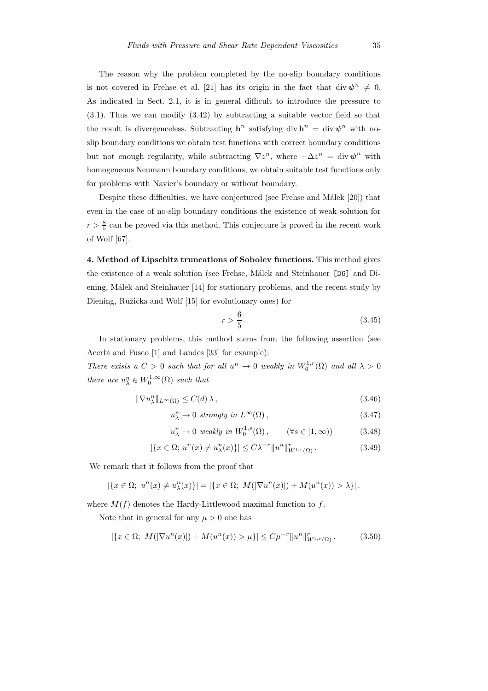The reason why the problem completed by the no-slip boundary conditions is not covered in Frehse et al. [21] has its origin in the fact that div  $\psi^n \neq 0$ . As indicated in Sect. 2.1, it is in general difficult to introduce the pressure to (3.1). Thus we can modify (3.42) by subtracting a suitable vector field so that the result is divergenceless. Subtracting  $h^n$  satisfying div  $h^n = \text{div }\psi^n$  with noslip boundary conditions we obtain test functions with correct boundary conditions but not enough regularity, while subtracting  $\nabla z^n$ , where  $-\Delta z^n = \text{div }\psi^n$  with homogeneous Neumann boundary conditions, we obtain suitable test functions only for problems with Navier's boundary or without boundary.

Despite these difficulties, we have conjectured (see Frehse and Málek  $[20]$ ) that even in the case of no-slip boundary conditions the existence of weak solution for  $r > \frac{8}{5}$  can be proved via this method. This conjecture is proved in the recent work of Wolf [67].

4. Method of Lipschitz truncations of Sobolev functions. This method gives the existence of a weak solution (see Frehse, Málek and Steinhauer [D6] and Diening, Málek and Steinhauer [14] for stationary problems, and the recent study by Diening, Růžička and Wolf [15] for evolutionary ones) for

$$
r > \frac{6}{5} \,. \tag{3.45}
$$

In stationary problems, this method stems from the following assertion (see Acerbi and Fusco [1] and Landes [33] for example):

There exists a  $C > 0$  such that for all  $u^n \to 0$  weakly in  $W_0^{1,r}(\Omega)$  and all  $\lambda > 0$ there are  $u_{\lambda}^{n} \in W_0^{1,\infty}(\Omega)$  such that

$$
\|\nabla u_{\lambda}^{n}\|_{L^{\infty}(\Omega)} \le C(d)\,\lambda\,,\tag{3.46}
$$

$$
u_{\lambda}^{n} \to 0 \ \text{ strongly in } L^{\infty}(\Omega), \tag{3.47}
$$

$$
u_{\lambda}^{n} \to 0 \text{ weakly in } W_{0}^{1,s}(\Omega), \qquad (\forall s \in [1, \infty)) \tag{3.48}
$$

$$
|\{x \in \Omega; u^n(x) \neq u_\lambda^n(x)\}| \leq C\lambda^{-r} \|u^n\|_{W^{1,r}(\Omega)}^r.
$$
 (3.49)

We remark that it follows from the proof that

$$
\left|\left\{x \in \Omega; u^n(x) \neq u_\lambda^n(x)\right\}\right| = \left|\left\{x \in \Omega; M(|\nabla u^n(x)|) + M(u^n(x)) > \lambda\right\}\right|.
$$

where  $M(f)$  denotes the Hardy-Littlewood maximal function to f.

Note that in general for any  $\mu > 0$  one has

$$
|\{x \in \Omega; M(|\nabla u^n(x)|) + M(u^n(x)) > \mu\}| \le C\mu^{-r} \|u^n\|_{W^{1,r}(\Omega)}^r.
$$
 (3.50)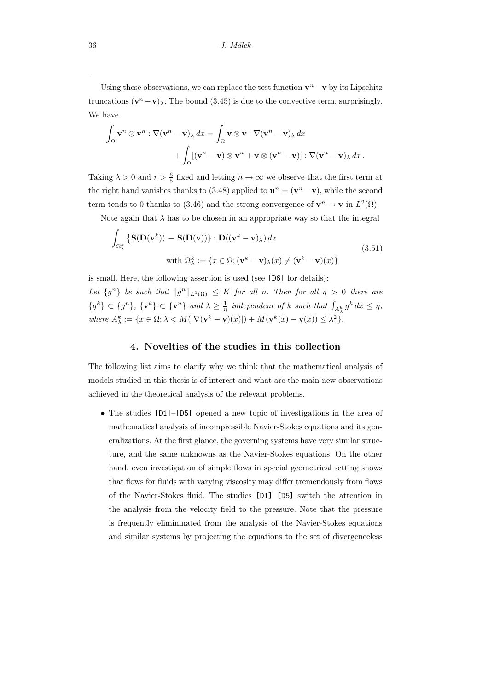Using these observations, we can replace the test function  $\mathbf{v}^n - \mathbf{v}$  by its Lipschitz truncations  $(\mathbf{v}^n - \mathbf{v})_\lambda$ . The bound (3.45) is due to the convective term, surprisingly. We have

$$
\int_{\Omega} \mathbf{v}^{n} \otimes \mathbf{v}^{n} : \nabla (\mathbf{v}^{n} - \mathbf{v})_{\lambda} dx = \int_{\Omega} \mathbf{v} \otimes \mathbf{v} : \nabla (\mathbf{v}^{n} - \mathbf{v})_{\lambda} dx \n+ \int_{\Omega} [(\mathbf{v}^{n} - \mathbf{v}) \otimes \mathbf{v}^{n} + \mathbf{v} \otimes (\mathbf{v}^{n} - \mathbf{v})] : \nabla (\mathbf{v}^{n} - \mathbf{v})_{\lambda} dx.
$$

Taking  $\lambda > 0$  and  $r > \frac{6}{5}$  fixed and letting  $n \to \infty$  we observe that the first term at the right hand vanishes thanks to (3.48) applied to  $\mathbf{u}^n = (\mathbf{v}^n - \mathbf{v})$ , while the second term tends to 0 thanks to (3.46) and the strong convergence of  $\mathbf{v}^n \to \mathbf{v}$  in  $L^2(\Omega)$ .

Note again that  $\lambda$  has to be chosen in an appropriate way so that the integral

$$
\int_{\Omega_{\lambda}^{k}} \left\{ \mathbf{S}(\mathbf{D}(\mathbf{v}^{k})) - \mathbf{S}(\mathbf{D}(\mathbf{v})) \right\} : \mathbf{D}((\mathbf{v}^{k} - \mathbf{v})_{\lambda}) dx
$$
\n
$$
\text{with } \Omega_{\lambda}^{k} := \{ x \in \Omega; (\mathbf{v}^{k} - \mathbf{v})_{\lambda}(x) \neq (\mathbf{v}^{k} - \mathbf{v})(x) \}
$$
\n(3.51)

is small. Here, the following assertion is used (see [D6] for details):

Let  $\{g^n\}$  be such that  $||g^n||_{L^1(\Omega)} \leq K$  for all n. Then for all  $\eta > 0$  there are  $\{g^k\} \subset \{g^n\}, \ \{\mathbf{v}^k\} \subset \{\mathbf{v}^n\}$  and  $\lambda \geq \frac{1}{\eta}$  independent of k such that  $\int_{A_{\lambda}^k} g^k dx \leq \eta$ , where  $A_{\lambda}^{k} := \{x \in \Omega; \lambda < M(|\nabla(\mathbf{v}^{k} - \mathbf{v})(x)|) + M(\mathbf{v}^{k}(x) - \mathbf{v}(x)) \leq \lambda^{2}\}.$ 

# 4. Novelties of the studies in this collection

The following list aims to clarify why we think that the mathematical analysis of models studied in this thesis is of interest and what are the main new observations achieved in the theoretical analysis of the relevant problems.

• The studies [D1]–[D5] opened a new topic of investigations in the area of mathematical analysis of incompressible Navier-Stokes equations and its generalizations. At the first glance, the governing systems have very similar structure, and the same unknowns as the Navier-Stokes equations. On the other hand, even investigation of simple flows in special geometrical setting shows that flows for fluids with varying viscosity may differ tremendously from flows of the Navier-Stokes fluid. The studies [D1]–[D5] switch the attention in the analysis from the velocity field to the pressure. Note that the pressure is frequently elimininated from the analysis of the Navier-Stokes equations and similar systems by projecting the equations to the set of divergenceless

.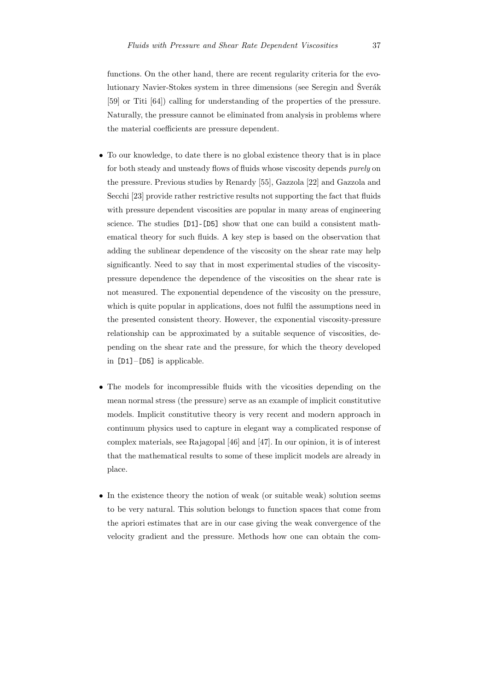functions. On the other hand, there are recent regularity criteria for the evolutionary Navier-Stokes system in three dimensions (see Seregin and Šverák [59] or Titi [64]) calling for understanding of the properties of the pressure. Naturally, the pressure cannot be eliminated from analysis in problems where the material coefficients are pressure dependent.

- To our knowledge, to date there is no global existence theory that is in place for both steady and unsteady flows of fluids whose viscosity depends *purely* on the pressure. Previous studies by Renardy [55], Gazzola [22] and Gazzola and Secchi [23] provide rather restrictive results not supporting the fact that fluids with pressure dependent viscosities are popular in many areas of engineering science. The studies [D1]-[D5] show that one can build a consistent mathematical theory for such fluids. A key step is based on the observation that adding the sublinear dependence of the viscosity on the shear rate may help significantly. Need to say that in most experimental studies of the viscositypressure dependence the dependence of the viscosities on the shear rate is not measured. The exponential dependence of the viscosity on the pressure, which is quite popular in applications, does not fulfil the assumptions need in the presented consistent theory. However, the exponential viscosity-pressure relationship can be approximated by a suitable sequence of viscosities, depending on the shear rate and the pressure, for which the theory developed in [D1]–[D5] is applicable.
- The models for incompressible fluids with the vicosities depending on the mean normal stress (the pressure) serve as an example of implicit constitutive models. Implicit constitutive theory is very recent and modern approach in continuum physics used to capture in elegant way a complicated response of complex materials, see Rajagopal [46] and [47]. In our opinion, it is of interest that the mathematical results to some of these implicit models are already in place.
- In the existence theory the notion of weak (or suitable weak) solution seems to be very natural. This solution belongs to function spaces that come from the apriori estimates that are in our case giving the weak convergence of the velocity gradient and the pressure. Methods how one can obtain the com-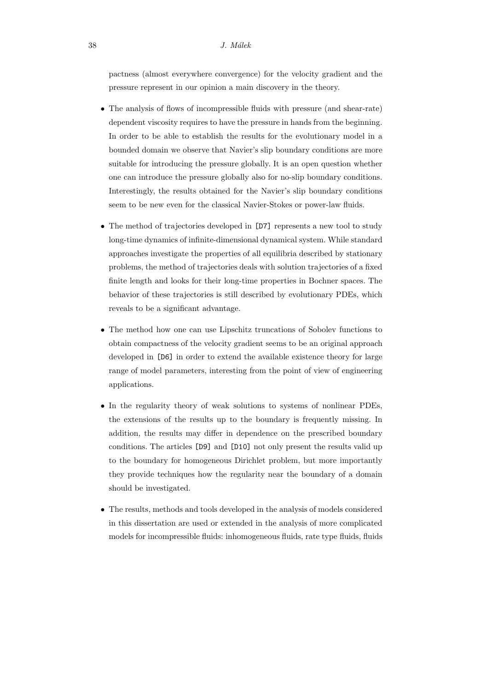pactness (almost everywhere convergence) for the velocity gradient and the pressure represent in our opinion a main discovery in the theory.

- The analysis of flows of incompressible fluids with pressure (and shear-rate) dependent viscosity requires to have the pressure in hands from the beginning. In order to be able to establish the results for the evolutionary model in a bounded domain we observe that Navier's slip boundary conditions are more suitable for introducing the pressure globally. It is an open question whether one can introduce the pressure globally also for no-slip boundary conditions. Interestingly, the results obtained for the Navier's slip boundary conditions seem to be new even for the classical Navier-Stokes or power-law fluids.
- The method of trajectories developed in [D7] represents a new tool to study long-time dynamics of infinite-dimensional dynamical system. While standard approaches investigate the properties of all equilibria described by stationary problems, the method of trajectories deals with solution trajectories of a fixed finite length and looks for their long-time properties in Bochner spaces. The behavior of these trajectories is still described by evolutionary PDEs, which reveals to be a significant advantage.
- The method how one can use Lipschitz truncations of Sobolev functions to obtain compactness of the velocity gradient seems to be an original approach developed in [D6] in order to extend the available existence theory for large range of model parameters, interesting from the point of view of engineering applications.
- In the regularity theory of weak solutions to systems of nonlinear PDEs, the extensions of the results up to the boundary is frequently missing. In addition, the results may differ in dependence on the prescribed boundary conditions. The articles [D9] and [D10] not only present the results valid up to the boundary for homogeneous Dirichlet problem, but more importantly they provide techniques how the regularity near the boundary of a domain should be investigated.
- The results, methods and tools developed in the analysis of models considered in this dissertation are used or extended in the analysis of more complicated models for incompressible fluids: inhomogeneous fluids, rate type fluids, fluids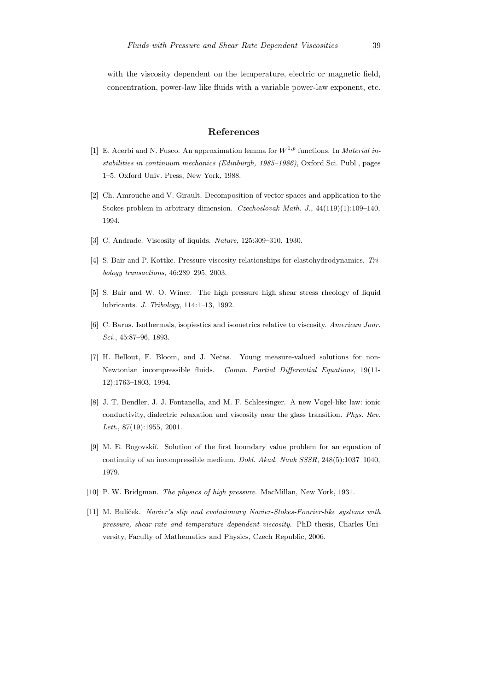with the viscosity dependent on the temperature, electric or magnetic field, concentration, power-law like fluids with a variable power-law exponent, etc.

# References

- [1] E. Acerbi and N. Fusco. An approximation lemma for  $W^{1,p}$  functions. In *Material in*stabilities in continuum mechanics (Edinburgh, 1985–1986), Oxford Sci. Publ., pages 1–5. Oxford Univ. Press, New York, 1988.
- [2] Ch. Amrouche and V. Girault. Decomposition of vector spaces and application to the Stokes problem in arbitrary dimension. Czechoslovak Math. J., 44(119)(1):109–140, 1994.
- [3] C. Andrade. Viscosity of liquids. Nature, 125:309-310, 1930.
- [4] S. Bair and P. Kottke. Pressure-viscosity relationships for elastohydrodynamics. Tribology transactions, 46:289–295, 2003.
- [5] S. Bair and W. O. Winer. The high pressure high shear stress rheology of liquid lubricants. J. Tribology, 114:1–13, 1992.
- [6] C. Barus. Isothermals, isopiestics and isometrics relative to viscosity. American Jour. Sci., 45:87–96, 1893.
- [7] H. Bellout, F. Bloom, and J. Nečas. Young measure-valued solutions for non-Newtonian incompressible fluids. Comm. Partial Differential Equations, 19(11- 12):1763–1803, 1994.
- [8] J. T. Bendler, J. J. Fontanella, and M. F. Schlessinger. A new Vogel-like law: ionic conductivity, dialectric relaxation and viscosity near the glass transition. Phys. Rev. Lett., 87(19):1955, 2001.
- [9] M. E. Bogovskii. Solution of the first boundary value problem for an equation of continuity of an incompressible medium. Dokl. Akad. Nauk SSSR, 248(5):1037–1040, 1979.
- [10] P. W. Bridgman. The physics of high pressure. MacMillan, New York, 1931.
- [11] M. Bulíček. Navier's slip and evolutionary Navier-Stokes-Fourier-like systems with pressure, shear-rate and temperature dependent viscosity. PhD thesis, Charles University, Faculty of Mathematics and Physics, Czech Republic, 2006.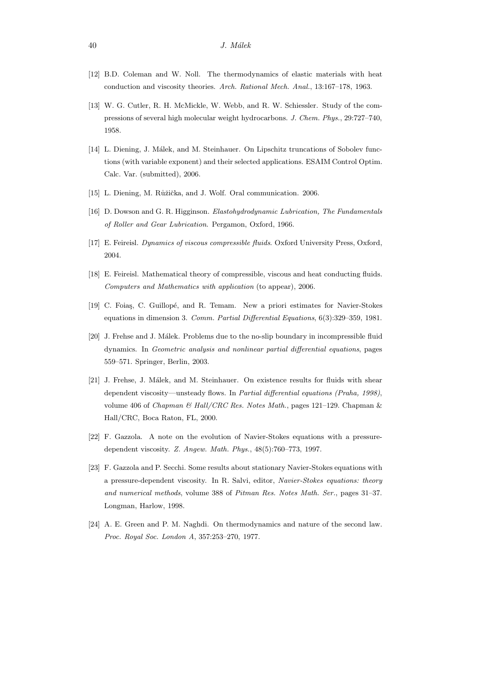- [12] B.D. Coleman and W. Noll. The thermodynamics of elastic materials with heat conduction and viscosity theories. Arch. Rational Mech. Anal., 13:167–178, 1963.
- [13] W. G. Cutler, R. H. McMickle, W. Webb, and R. W. Schiessler. Study of the compressions of several high molecular weight hydrocarbons. J. Chem. Phys., 29:727–740, 1958.
- [14] L. Diening, J. Málek, and M. Steinhauer. On Lipschitz truncations of Sobolev functions (with variable exponent) and their selected applications. ESAIM Control Optim. Calc. Var. (submitted), 2006.
- [15] L. Diening, M. Růžička, and J. Wolf. Oral communication. 2006.
- [16] D. Dowson and G. R. Higginson. Elastohydrodynamic Lubrication, The Fundamentals of Roller and Gear Lubrication. Pergamon, Oxford, 1966.
- [17] E. Feireisl. Dynamics of viscous compressible fluids. Oxford University Press, Oxford, 2004.
- [18] E. Feireisl. Mathematical theory of compressible, viscous and heat conducting fluids. Computers and Mathematics with application (to appear), 2006.
- [19] C. Foiaş, C. Guillopé, and R. Temam. New a priori estimates for Navier-Stokes equations in dimension 3. Comm. Partial Differential Equations, 6(3):329–359, 1981.
- [20] J. Frehse and J. Málek. Problems due to the no-slip boundary in incompressible fluid dynamics. In Geometric analysis and nonlinear partial differential equations, pages 559–571. Springer, Berlin, 2003.
- [21] J. Frehse, J. Málek, and M. Steinhauer. On existence results for fluids with shear dependent viscosity—unsteady flows. In Partial differential equations (Praha, 1998), volume 406 of *Chapman & Hall/CRC Res. Notes Math.*, pages 121–129. Chapman & Hall/CRC, Boca Raton, FL, 2000.
- [22] F. Gazzola. A note on the evolution of Navier-Stokes equations with a pressuredependent viscosity. Z. Angew. Math. Phys., 48(5):760–773, 1997.
- [23] F. Gazzola and P. Secchi. Some results about stationary Navier-Stokes equations with a pressure-dependent viscosity. In R. Salvi, editor, Navier-Stokes equations: theory and numerical methods, volume 388 of Pitman Res. Notes Math. Ser., pages 31–37. Longman, Harlow, 1998.
- [24] A. E. Green and P. M. Naghdi. On thermodynamics and nature of the second law. Proc. Royal Soc. London A, 357:253–270, 1977.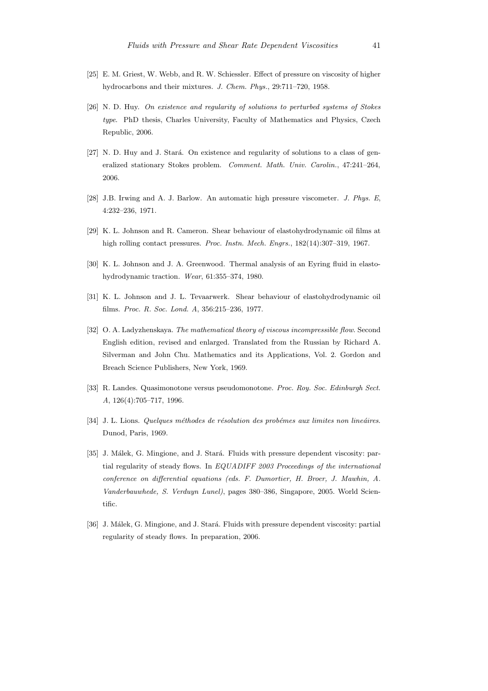- [25] E. M. Griest, W. Webb, and R. W. Schiessler. Effect of pressure on viscosity of higher hydrocarbons and their mixtures. J. Chem. Phys., 29:711–720, 1958.
- [26] N. D. Huy. On existence and regularity of solutions to perturbed systems of Stokes type. PhD thesis, Charles University, Faculty of Mathematics and Physics, Czech Republic, 2006.
- [27] N. D. Huy and J. Stará. On existence and regularity of solutions to a class of generalized stationary Stokes problem. Comment. Math. Univ. Carolin., 47:241–264, 2006.
- [28] J.B. Irwing and A. J. Barlow. An automatic high pressure viscometer. J. Phys. E, 4:232–236, 1971.
- [29] K. L. Johnson and R. Cameron. Shear behaviour of elastohydrodynamic oil films at high rolling contact pressures. Proc. Instn. Mech. Engrs., 182(14):307–319, 1967.
- [30] K. L. Johnson and J. A. Greenwood. Thermal analysis of an Eyring fluid in elastohydrodynamic traction. Wear, 61:355–374, 1980.
- [31] K. L. Johnson and J. L. Tevaarwerk. Shear behaviour of elastohydrodynamic oil films. Proc. R. Soc. Lond. A, 356:215–236, 1977.
- [32] O. A. Ladyzhenskaya. The mathematical theory of viscous incompressible flow. Second English edition, revised and enlarged. Translated from the Russian by Richard A. Silverman and John Chu. Mathematics and its Applications, Vol. 2. Gordon and Breach Science Publishers, New York, 1969.
- [33] R. Landes. Quasimonotone versus pseudomonotone. Proc. Roy. Soc. Edinburgh Sect. A, 126(4):705–717, 1996.
- [34] J. L. Lions. Quelques méthodes de résolution des probémes aux limites non lineáires. Dunod, Paris, 1969.
- [35] J. Málek, G. Mingione, and J. Stará. Fluids with pressure dependent viscosity: partial regularity of steady flows. In EQUADIFF 2003 Proceedings of the international conference on differential equations (eds. F. Dumortier, H. Broer, J. Mawhin, A. Vanderbauwhede, S. Verduyn Lunel), pages 380–386, Singapore, 2005. World Scientific.
- [36] J. Málek, G. Mingione, and J. Stará. Fluids with pressure dependent viscosity: partial regularity of steady flows. In preparation, 2006.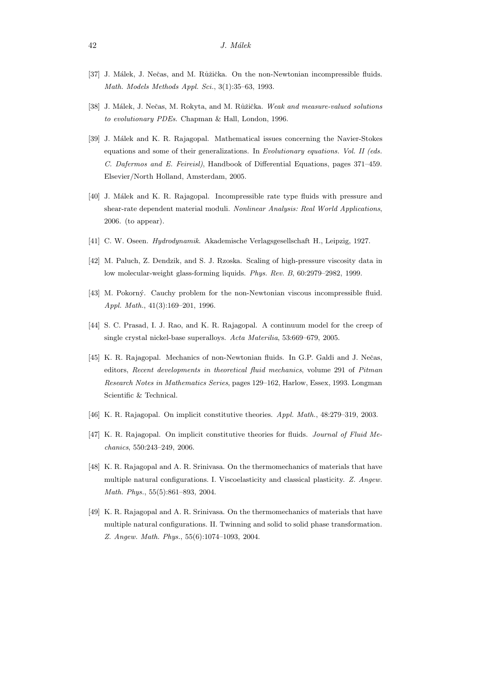- [37] J. Málek, J. Nečas, and M. Růžička. On the non-Newtonian incompressible fluids. Math. Models Methods Appl. Sci., 3(1):35–63, 1993.
- [38] J. Málek, J. Nečas, M. Rokyta, and M. Růžička. Weak and measure-valued solutions to evolutionary PDEs. Chapman & Hall, London, 1996.
- [39] J. Málek and K. R. Rajagopal. Mathematical issues concerning the Navier-Stokes equations and some of their generalizations. In Evolutionary equations. Vol. II (eds. C. Dafermos and E. Feireisl), Handbook of Differential Equations, pages 371–459. Elsevier/North Holland, Amsterdam, 2005.
- [40] J. Málek and K. R. Rajagopal. Incompressible rate type fluids with pressure and shear-rate dependent material moduli. Nonlinear Analysis: Real World Applications, 2006. (to appear).
- [41] C. W. Oseen. Hydrodynamik. Akademische Verlagsgesellschaft H., Leipzig, 1927.
- [42] M. Paluch, Z. Dendzik, and S. J. Rzoska. Scaling of high-pressure viscosity data in low molecular-weight glass-forming liquids. Phys. Rev. B, 60:2979–2982, 1999.
- [43] M. Pokorný. Cauchy problem for the non-Newtonian viscous incompressible fluid. Appl. Math., 41(3):169–201, 1996.
- [44] S. C. Prasad, I. J. Rao, and K. R. Rajagopal. A continuum model for the creep of single crystal nickel-base superalloys. Acta Materilia, 53:669–679, 2005.
- [45] K. R. Rajagopal. Mechanics of non-Newtonian fluids. In G.P. Galdi and J. Nečas, editors, Recent developments in theoretical fluid mechanics, volume 291 of Pitman Research Notes in Mathematics Series, pages 129–162, Harlow, Essex, 1993. Longman Scientific & Technical.
- [46] K. R. Rajagopal. On implicit constitutive theories. Appl. Math., 48:279–319, 2003.
- [47] K. R. Rajagopal. On implicit constitutive theories for fluids. *Journal of Fluid Me*chanics, 550:243–249, 2006.
- [48] K. R. Rajagopal and A. R. Srinivasa. On the thermomechanics of materials that have multiple natural configurations. I. Viscoelasticity and classical plasticity. Z. Angew. Math. Phys., 55(5):861–893, 2004.
- [49] K. R. Rajagopal and A. R. Srinivasa. On the thermomechanics of materials that have multiple natural configurations. II. Twinning and solid to solid phase transformation. Z. Angew. Math. Phys., 55(6):1074–1093, 2004.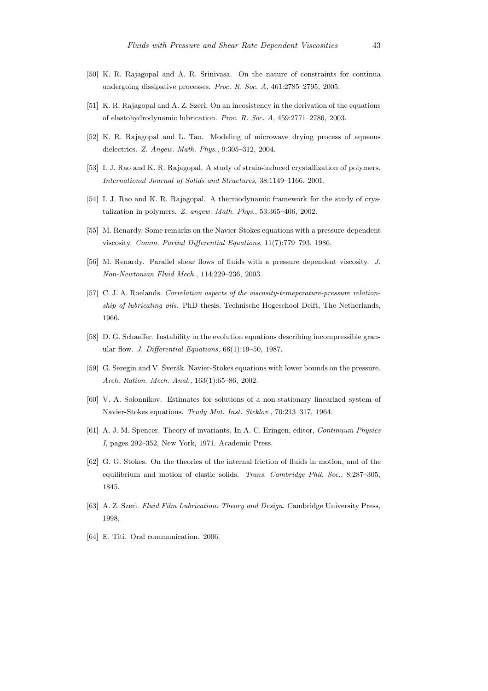- [50] K. R. Rajagopal and A. R. Srinivasa. On the nature of constraints for continua undergoing dissipative processes. Proc. R. Soc. A, 461:2785–2795, 2005.
- [51] K. R. Rajagopal and A. Z. Szeri. On an incosistency in the derivation of the equations of elastohydrodynamic lubrication. Proc. R. Soc. A, 459:2771–2786, 2003.
- [52] K. R. Rajagopal and L. Tao. Modeling of microwave drying process of aqueous dielectrics. Z. Angew. Math. Phys., 9:305–312, 2004.
- [53] I. J. Rao and K. R. Rajagopal. A study of strain-induced crystallization of polymers. International Journal of Solids and Structures, 38:1149–1166, 2001.
- [54] I. J. Rao and K. R. Rajagopal. A thermodynamic framework for the study of crystalization in polymers. Z. angew. Math. Phys., 53:365–406, 2002.
- [55] M. Renardy. Some remarks on the Navier-Stokes equations with a pressure-dependent viscosity. Comm. Partial Differential Equations, 11(7):779–793, 1986.
- [56] M. Renardy. Parallel shear flows of fluids with a pressure dependent viscosity. J. Non-Newtonian Fluid Mech., 114:229–236, 2003.
- [57] C. J. A. Roelands. *Correlation aspects of the viscosity-temeperature-pressure relation*ship of lubricating oils. PhD thesis, Technische Hogeschool Delft, The Netherlands, 1966.
- [58] D. G. Schaeffer. Instability in the evolution equations describing incompressible granular flow. J. Differential Equations, 66(1):19–50, 1987.
- [59] G. Seregin and V. Šverák. Navier-Stokes equations with lower bounds on the pressure. Arch. Ration. Mech. Anal., 163(1):65–86, 2002.
- [60] V. A. Solonnikov. Estimates for solutions of a non-stationary linearized system of Navier-Stokes equations. Trudy Mat. Inst. Steklov., 70:213–317, 1964.
- [61] A. J. M. Spencer. Theory of invariants. In A. C. Eringen, editor, Continuum Physics I, pages 292–352, New York, 1971. Academic Press.
- [62] G. G. Stokes. On the theories of the internal friction of fluids in motion, and of the equilibrium and motion of elastic solids. Trans. Cambridge Phil. Soc., 8:287-305, 1845.
- [63] A. Z. Szeri. Fluid Film Lubrication: Theory and Design. Cambridge University Press, 1998.
- [64] E. Titi. Oral communication. 2006.